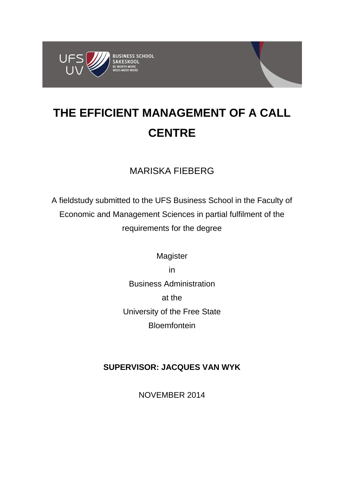

# **THE EFFICIENT MANAGEMENT OF A CALL CENTRE**

## MARISKA FIEBERG

A fieldstudy submitted to the UFS Business School in the Faculty of Economic and Management Sciences in partial fulfilment of the requirements for the degree

> Magister in Business Administration at the University of the Free State Bloemfontein

## **SUPERVISOR: JACQUES VAN WYK**

NOVEMBER 2014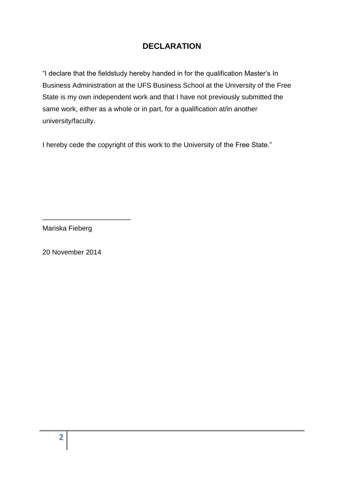## **DECLARATION**

"I declare that the fieldstudy hereby handed in for the qualification Master's In Business Administration at the UFS Business School at the University of the Free State is my own independent work and that I have not previously submitted the same work, either as a whole or in part, for a qualification at/in another university/faculty.

I hereby cede the copyright of this work to the University of the Free State."

Mariska Fieberg

\_\_\_\_\_\_\_\_\_\_\_\_\_\_\_\_\_\_\_\_\_\_\_

20 November 2014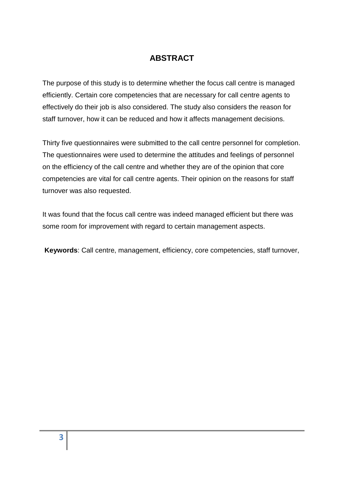## **ABSTRACT**

The purpose of this study is to determine whether the focus call centre is managed efficiently. Certain core competencies that are necessary for call centre agents to effectively do their job is also considered. The study also considers the reason for staff turnover, how it can be reduced and how it affects management decisions.

Thirty five questionnaires were submitted to the call centre personnel for completion. The questionnaires were used to determine the attitudes and feelings of personnel on the efficiency of the call centre and whether they are of the opinion that core competencies are vital for call centre agents. Their opinion on the reasons for staff turnover was also requested.

It was found that the focus call centre was indeed managed efficient but there was some room for improvement with regard to certain management aspects.

**Keywords**: Call centre, management, efficiency, core competencies, staff turnover,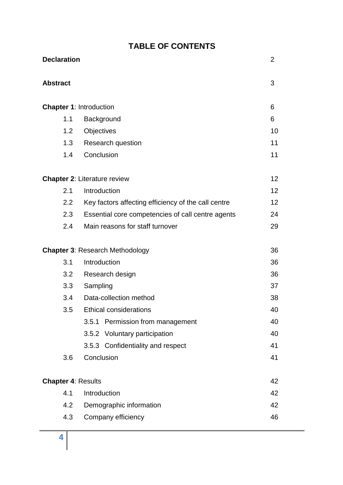| <b>Declaration</b>        |                                                     | $\overline{2}$  |
|---------------------------|-----------------------------------------------------|-----------------|
| <b>Abstract</b>           |                                                     | 3               |
|                           | <b>Chapter 1: Introduction</b>                      | 6               |
| 1.1                       | Background                                          | 6               |
| 1.2                       | Objectives                                          | 10              |
| 1.3                       | Research question                                   | 11              |
| 1.4                       | Conclusion                                          | 11              |
|                           | <b>Chapter 2: Literature review</b>                 | 12 <sup>2</sup> |
| 2.1                       | Introduction                                        | 12              |
| 2.2                       | Key factors affecting efficiency of the call centre | 12              |
| 2.3                       | Essential core competencies of call centre agents   | 24              |
| 2.4                       | Main reasons for staff turnover                     | 29              |
|                           | <b>Chapter 3: Research Methodology</b>              | 36              |
| 3.1                       | Introduction                                        | 36              |
| 3.2                       | Research design                                     | 36              |
| 3.3                       | Sampling                                            | 37              |
| 3.4                       | Data-collection method                              | 38              |
| 3.5                       | <b>Ethical considerations</b>                       | 40              |
|                           | 3.5.1 Permission from management                    | 40              |
|                           | 3.5.2 Voluntary participation                       | 40              |
|                           | 3.5.3 Confidentiality and respect                   | 41              |
| 3.6                       | Conclusion                                          | 41              |
| <b>Chapter 4: Results</b> |                                                     | 42              |
| 4.1                       | Introduction                                        | 42              |
| 4.2                       | Demographic information                             | 42              |
| 4.3                       | Company efficiency                                  | 46              |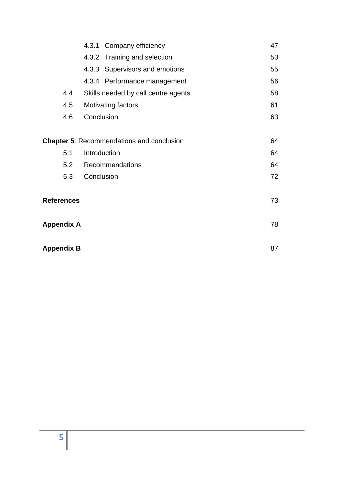|                                                  | 4.3.1 Company efficiency            | 47 |
|--------------------------------------------------|-------------------------------------|----|
|                                                  | 4.3.2 Training and selection        | 53 |
|                                                  | 4.3.3 Supervisors and emotions      | 55 |
|                                                  | 4.3.4 Performance management        | 56 |
| 4.4                                              | Skills needed by call centre agents | 58 |
| 4.5                                              | Motivating factors                  | 61 |
| 4.6                                              | Conclusion                          | 63 |
|                                                  |                                     |    |
| <b>Chapter 5: Recommendations and conclusion</b> |                                     | 64 |
| 5.1                                              | Introduction                        | 64 |
| 5.2                                              | Recommendations                     | 64 |
| 5.3                                              | Conclusion                          | 72 |
|                                                  |                                     |    |
| <b>References</b>                                | 73                                  |    |
|                                                  |                                     |    |
| <b>Appendix A</b>                                |                                     | 78 |
|                                                  |                                     |    |
| <b>Appendix B</b>                                | 87                                  |    |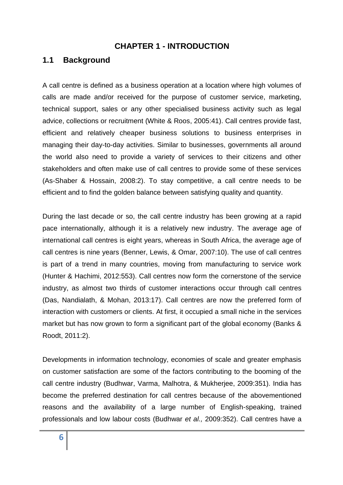#### **CHAPTER 1 - INTRODUCTION**

#### **1.1 Background**

A call centre is defined as a business operation at a location where high volumes of calls are made and/or received for the purpose of customer service, marketing, technical support, sales or any other specialised business activity such as legal advice, collections or recruitment (White & Roos, 2005:41). Call centres provide fast, efficient and relatively cheaper business solutions to business enterprises in managing their day-to-day activities. Similar to businesses, governments all around the world also need to provide a variety of services to their citizens and other stakeholders and often make use of call centres to provide some of these services (As-Shaber & Hossain, 2008:2). To stay competitive, a call centre needs to be efficient and to find the golden balance between satisfying quality and quantity.

During the last decade or so, the call centre industry has been growing at a rapid pace internationally, although it is a relatively new industry. The average age of international call centres is eight years, whereas in South Africa, the average age of call centres is nine years (Benner, Lewis, & Omar, 2007:10). The use of call centres is part of a trend in many countries, moving from manufacturing to service work (Hunter & Hachimi, 2012:553). Call centres now form the cornerstone of the service industry, as almost two thirds of customer interactions occur through call centres (Das, Nandialath, & Mohan, 2013:17). Call centres are now the preferred form of interaction with customers or clients. At first, it occupied a small niche in the services market but has now grown to form a significant part of the global economy (Banks & Roodt, 2011:2).

Developments in information technology, economies of scale and greater emphasis on customer satisfaction are some of the factors contributing to the booming of the call centre industry (Budhwar, Varma, Malhotra, & Mukherjee, 2009:351). India has become the preferred destination for call centres because of the abovementioned reasons and the availability of a large number of English-speaking, trained professionals and low labour costs (Budhwar *et al.,* 2009:352). Call centres have a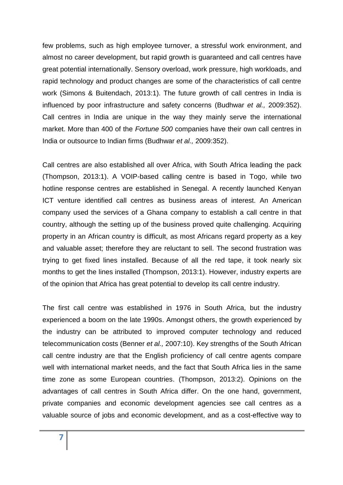few problems, such as high employee turnover, a stressful work environment, and almost no career development, but rapid growth is guaranteed and call centres have great potential internationally. Sensory overload, work pressure, high workloads, and rapid technology and product changes are some of the characteristics of call centre work (Simons & Buitendach, 2013:1). The future growth of call centres in India is influenced by poor infrastructure and safety concerns (Budhwar *et al.,* 2009:352). Call centres in India are unique in the way they mainly serve the international market. More than 400 of the *Fortune 500* companies have their own call centres in India or outsource to Indian firms (Budhwar *et al.,* 2009:352).

Call centres are also established all over Africa, with South Africa leading the pack (Thompson, 2013:1). A VOIP-based calling centre is based in Togo, while two hotline response centres are established in Senegal. A recently launched Kenyan ICT venture identified call centres as business areas of interest. An American company used the services of a Ghana company to establish a call centre in that country, although the setting up of the business proved quite challenging. Acquiring property in an African country is difficult, as most Africans regard property as a key and valuable asset; therefore they are reluctant to sell. The second frustration was trying to get fixed lines installed. Because of all the red tape, it took nearly six months to get the lines installed (Thompson, 2013:1). However, industry experts are of the opinion that Africa has great potential to develop its call centre industry.

The first call centre was established in 1976 in South Africa, but the industry experienced a boom on the late 1990s. Amongst others, the growth experienced by the industry can be attributed to improved computer technology and reduced telecommunication costs (Benner *et al.,* 2007:10). Key strengths of the South African call centre industry are that the English proficiency of call centre agents compare well with international market needs, and the fact that South Africa lies in the same time zone as some European countries. (Thompson, 2013:2). Opinions on the advantages of call centres in South Africa differ. On the one hand, government, private companies and economic development agencies see call centres as a valuable source of jobs and economic development, and as a cost-effective way to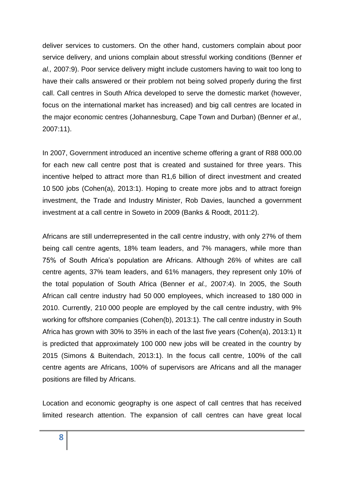deliver services to customers. On the other hand, customers complain about poor service delivery, and unions complain about stressful working conditions (Benner *et al.,* 2007:9). Poor service delivery might include customers having to wait too long to have their calls answered or their problem not being solved properly during the first call. Call centres in South Africa developed to serve the domestic market (however, focus on the international market has increased) and big call centres are located in the major economic centres (Johannesburg, Cape Town and Durban) (Benner *et al.,* 2007:11).

In 2007, Government introduced an incentive scheme offering a grant of R88 000.00 for each new call centre post that is created and sustained for three years. This incentive helped to attract more than R1,6 billion of direct investment and created 10 500 jobs (Cohen(a), 2013:1). Hoping to create more jobs and to attract foreign investment, the Trade and Industry Minister, Rob Davies, launched a government investment at a call centre in Soweto in 2009 (Banks & Roodt, 2011:2).

Africans are still underrepresented in the call centre industry, with only 27% of them being call centre agents, 18% team leaders, and 7% managers, while more than 75% of South Africa's population are Africans. Although 26% of whites are call centre agents, 37% team leaders, and 61% managers, they represent only 10% of the total population of South Africa (Benner *et al.,* 2007:4). In 2005, the South African call centre industry had 50 000 employees, which increased to 180 000 in 2010. Currently, 210 000 people are employed by the call centre industry, with 9% working for offshore companies (Cohen(b), 2013:1). The call centre industry in South Africa has grown with 30% to 35% in each of the last five years (Cohen(a), 2013:1) It is predicted that approximately 100 000 new jobs will be created in the country by 2015 (Simons & Buitendach, 2013:1). In the focus call centre, 100% of the call centre agents are Africans, 100% of supervisors are Africans and all the manager positions are filled by Africans.

Location and economic geography is one aspect of call centres that has received limited research attention. The expansion of call centres can have great local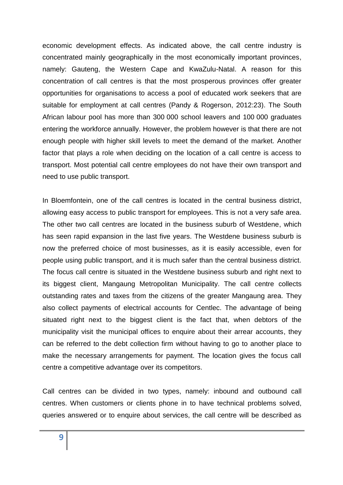economic development effects. As indicated above, the call centre industry is concentrated mainly geographically in the most economically important provinces, namely: Gauteng, the Western Cape and KwaZulu-Natal. A reason for this concentration of call centres is that the most prosperous provinces offer greater opportunities for organisations to access a pool of educated work seekers that are suitable for employment at call centres (Pandy & Rogerson, 2012:23). The South African labour pool has more than 300 000 school leavers and 100 000 graduates entering the workforce annually. However, the problem however is that there are not enough people with higher skill levels to meet the demand of the market. Another factor that plays a role when deciding on the location of a call centre is access to transport. Most potential call centre employees do not have their own transport and need to use public transport.

In Bloemfontein, one of the call centres is located in the central business district, allowing easy access to public transport for employees. This is not a very safe area. The other two call centres are located in the business suburb of Westdene, which has seen rapid expansion in the last five years. The Westdene business suburb is now the preferred choice of most businesses, as it is easily accessible, even for people using public transport, and it is much safer than the central business district. The focus call centre is situated in the Westdene business suburb and right next to its biggest client, Mangaung Metropolitan Municipality. The call centre collects outstanding rates and taxes from the citizens of the greater Mangaung area. They also collect payments of electrical accounts for Centlec. The advantage of being situated right next to the biggest client is the fact that, when debtors of the municipality visit the municipal offices to enquire about their arrear accounts, they can be referred to the debt collection firm without having to go to another place to make the necessary arrangements for payment. The location gives the focus call centre a competitive advantage over its competitors.

Call centres can be divided in two types, namely: inbound and outbound call centres. When customers or clients phone in to have technical problems solved, queries answered or to enquire about services, the call centre will be described as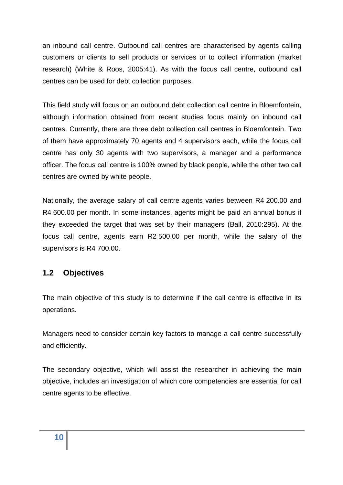an inbound call centre. Outbound call centres are characterised by agents calling customers or clients to sell products or services or to collect information (market research) (White & Roos, 2005:41). As with the focus call centre, outbound call centres can be used for debt collection purposes.

This field study will focus on an outbound debt collection call centre in Bloemfontein, although information obtained from recent studies focus mainly on inbound call centres. Currently, there are three debt collection call centres in Bloemfontein. Two of them have approximately 70 agents and 4 supervisors each, while the focus call centre has only 30 agents with two supervisors, a manager and a performance officer. The focus call centre is 100% owned by black people, while the other two call centres are owned by white people.

Nationally, the average salary of call centre agents varies between R4 200.00 and R4 600.00 per month. In some instances, agents might be paid an annual bonus if they exceeded the target that was set by their managers (Ball, 2010:295). At the focus call centre, agents earn R2 500.00 per month, while the salary of the supervisors is R4 700.00.

## **1.2 Objectives**

The main objective of this study is to determine if the call centre is effective in its operations.

Managers need to consider certain key factors to manage a call centre successfully and efficiently.

The secondary objective, which will assist the researcher in achieving the main objective, includes an investigation of which core competencies are essential for call centre agents to be effective.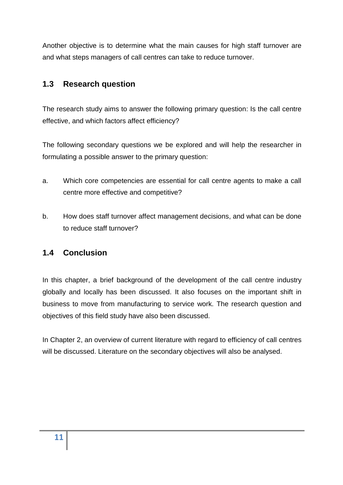Another objective is to determine what the main causes for high staff turnover are and what steps managers of call centres can take to reduce turnover.

## **1.3 Research question**

The research study aims to answer the following primary question: Is the call centre effective, and which factors affect efficiency?

The following secondary questions we be explored and will help the researcher in formulating a possible answer to the primary question:

- a. Which core competencies are essential for call centre agents to make a call centre more effective and competitive?
- b. How does staff turnover affect management decisions, and what can be done to reduce staff turnover?

## **1.4 Conclusion**

In this chapter, a brief background of the development of the call centre industry globally and locally has been discussed. It also focuses on the important shift in business to move from manufacturing to service work. The research question and objectives of this field study have also been discussed.

In Chapter 2, an overview of current literature with regard to efficiency of call centres will be discussed. Literature on the secondary objectives will also be analysed.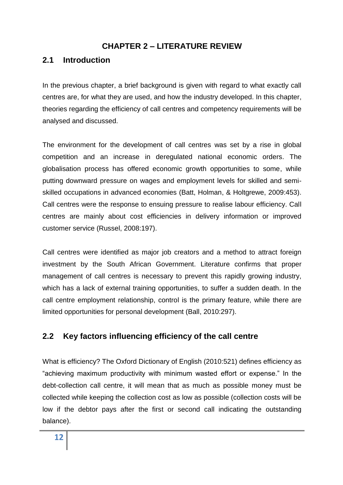#### **CHAPTER 2 – LITERATURE REVIEW**

#### **2.1 Introduction**

In the previous chapter, a brief background is given with regard to what exactly call centres are, for what they are used, and how the industry developed. In this chapter, theories regarding the efficiency of call centres and competency requirements will be analysed and discussed.

The environment for the development of call centres was set by a rise in global competition and an increase in deregulated national economic orders. The globalisation process has offered economic growth opportunities to some, while putting downward pressure on wages and employment levels for skilled and semiskilled occupations in advanced economies (Batt, Holman, & Holtgrewe, 2009:453). Call centres were the response to ensuing pressure to realise labour efficiency. Call centres are mainly about cost efficiencies in delivery information or improved customer service (Russel, 2008:197).

Call centres were identified as major job creators and a method to attract foreign investment by the South African Government. Literature confirms that proper management of call centres is necessary to prevent this rapidly growing industry, which has a lack of external training opportunities, to suffer a sudden death. In the call centre employment relationship, control is the primary feature, while there are limited opportunities for personal development (Ball, 2010:297).

## **2.2 Key factors influencing efficiency of the call centre**

What is efficiency? The Oxford Dictionary of English (2010:521) defines efficiency as "achieving maximum productivity with minimum wasted effort or expense." In the debt-collection call centre, it will mean that as much as possible money must be collected while keeping the collection cost as low as possible (collection costs will be low if the debtor pays after the first or second call indicating the outstanding balance).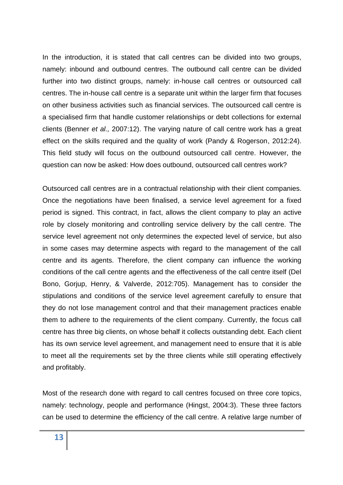In the introduction, it is stated that call centres can be divided into two groups, namely: inbound and outbound centres. The outbound call centre can be divided further into two distinct groups, namely: in-house call centres or outsourced call centres. The in-house call centre is a separate unit within the larger firm that focuses on other business activities such as financial services. The outsourced call centre is a specialised firm that handle customer relationships or debt collections for external clients (Benner *et al.,* 2007:12). The varying nature of call centre work has a great effect on the skills required and the quality of work (Pandy & Rogerson, 2012:24). This field study will focus on the outbound outsourced call centre. However, the question can now be asked: How does outbound, outsourced call centres work?

Outsourced call centres are in a contractual relationship with their client companies. Once the negotiations have been finalised, a service level agreement for a fixed period is signed. This contract, in fact, allows the client company to play an active role by closely monitoring and controlling service delivery by the call centre. The service level agreement not only determines the expected level of service, but also in some cases may determine aspects with regard to the management of the call centre and its agents. Therefore, the client company can influence the working conditions of the call centre agents and the effectiveness of the call centre itself (Del Bono, Gorjup, Henry, & Valverde, 2012:705). Management has to consider the stipulations and conditions of the service level agreement carefully to ensure that they do not lose management control and that their management practices enable them to adhere to the requirements of the client company. Currently, the focus call centre has three big clients, on whose behalf it collects outstanding debt. Each client has its own service level agreement, and management need to ensure that it is able to meet all the requirements set by the three clients while still operating effectively and profitably.

Most of the research done with regard to call centres focused on three core topics, namely: technology, people and performance (Hingst, 2004:3). These three factors can be used to determine the efficiency of the call centre. A relative large number of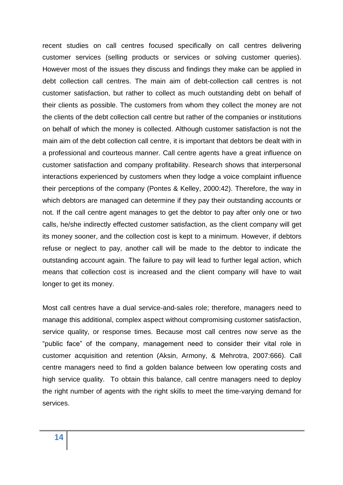recent studies on call centres focused specifically on call centres delivering customer services (selling products or services or solving customer queries). However most of the issues they discuss and findings they make can be applied in debt collection call centres. The main aim of debt-collection call centres is not customer satisfaction, but rather to collect as much outstanding debt on behalf of their clients as possible. The customers from whom they collect the money are not the clients of the debt collection call centre but rather of the companies or institutions on behalf of which the money is collected. Although customer satisfaction is not the main aim of the debt collection call centre, it is important that debtors be dealt with in a professional and courteous manner. Call centre agents have a great influence on customer satisfaction and company profitability. Research shows that interpersonal interactions experienced by customers when they lodge a voice complaint influence their perceptions of the company (Pontes & Kelley, 2000:42). Therefore, the way in which debtors are managed can determine if they pay their outstanding accounts or not. If the call centre agent manages to get the debtor to pay after only one or two calls, he/she indirectly effected customer satisfaction, as the client company will get its money sooner, and the collection cost is kept to a minimum. However, if debtors refuse or neglect to pay, another call will be made to the debtor to indicate the outstanding account again. The failure to pay will lead to further legal action, which means that collection cost is increased and the client company will have to wait longer to get its money.

Most call centres have a dual service-and-sales role; therefore, managers need to manage this additional, complex aspect without compromising customer satisfaction, service quality, or response times. Because most call centres now serve as the "public face" of the company, management need to consider their vital role in customer acquisition and retention (Aksin, Armony, & Mehrotra, 2007:666). Call centre managers need to find a golden balance between low operating costs and high service quality. To obtain this balance, call centre managers need to deploy the right number of agents with the right skills to meet the time-varying demand for services.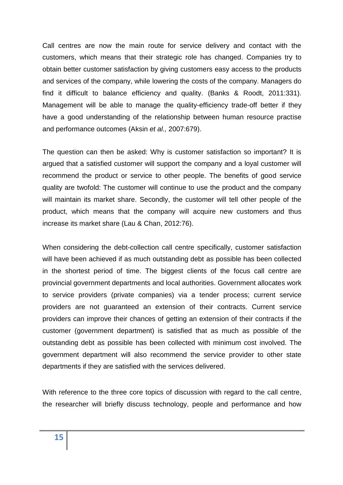Call centres are now the main route for service delivery and contact with the customers, which means that their strategic role has changed. Companies try to obtain better customer satisfaction by giving customers easy access to the products and services of the company, while lowering the costs of the company. Managers do find it difficult to balance efficiency and quality. (Banks & Roodt, 2011:331). Management will be able to manage the quality-efficiency trade-off better if they have a good understanding of the relationship between human resource practise and performance outcomes (Aksin *et al.,* 2007:679).

The question can then be asked: Why is customer satisfaction so important? It is argued that a satisfied customer will support the company and a loyal customer will recommend the product or service to other people. The benefits of good service quality are twofold: The customer will continue to use the product and the company will maintain its market share. Secondly, the customer will tell other people of the product, which means that the company will acquire new customers and thus increase its market share (Lau & Chan, 2012:76).

When considering the debt-collection call centre specifically, customer satisfaction will have been achieved if as much outstanding debt as possible has been collected in the shortest period of time. The biggest clients of the focus call centre are provincial government departments and local authorities. Government allocates work to service providers (private companies) via a tender process; current service providers are not guaranteed an extension of their contracts. Current service providers can improve their chances of getting an extension of their contracts if the customer (government department) is satisfied that as much as possible of the outstanding debt as possible has been collected with minimum cost involved. The government department will also recommend the service provider to other state departments if they are satisfied with the services delivered.

With reference to the three core topics of discussion with regard to the call centre, the researcher will briefly discuss technology, people and performance and how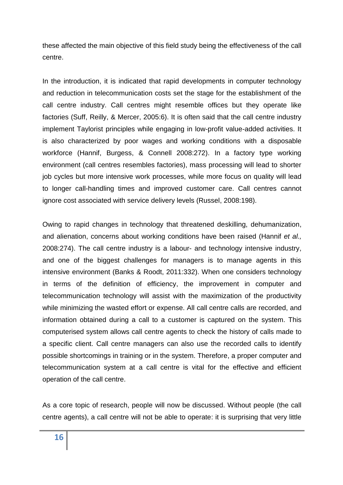these affected the main objective of this field study being the effectiveness of the call centre.

In the introduction, it is indicated that rapid developments in computer technology and reduction in telecommunication costs set the stage for the establishment of the call centre industry. Call centres might resemble offices but they operate like factories (Suff, Reilly, & Mercer, 2005:6). It is often said that the call centre industry implement Taylorist principles while engaging in low-profit value-added activities. It is also characterized by poor wages and working conditions with a disposable workforce (Hannif, Burgess, & Connell 2008:272). In a factory type working environment (call centres resembles factories), mass processing will lead to shorter job cycles but more intensive work processes, while more focus on quality will lead to longer call-handling times and improved customer care. Call centres cannot ignore cost associated with service delivery levels (Russel, 2008:198).

Owing to rapid changes in technology that threatened deskilling, dehumanization, and alienation, concerns about working conditions have been raised (Hannif *et al.,* 2008:274). The call centre industry is a labour- and technology intensive industry, and one of the biggest challenges for managers is to manage agents in this intensive environment (Banks & Roodt, 2011:332). When one considers technology in terms of the definition of efficiency, the improvement in computer and telecommunication technology will assist with the maximization of the productivity while minimizing the wasted effort or expense. All call centre calls are recorded, and information obtained during a call to a customer is captured on the system. This computerised system allows call centre agents to check the history of calls made to a specific client. Call centre managers can also use the recorded calls to identify possible shortcomings in training or in the system. Therefore, a proper computer and telecommunication system at a call centre is vital for the effective and efficient operation of the call centre.

As a core topic of research, people will now be discussed. Without people (the call centre agents), a call centre will not be able to operate: it is surprising that very little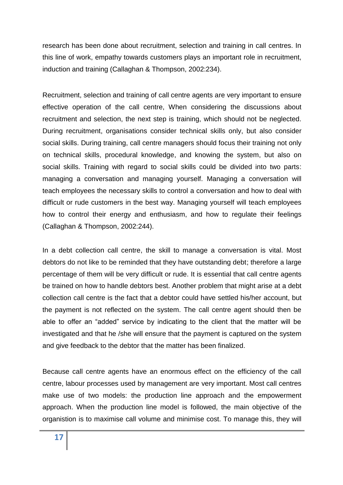research has been done about recruitment, selection and training in call centres. In this line of work, empathy towards customers plays an important role in recruitment, induction and training (Callaghan & Thompson, 2002:234).

Recruitment, selection and training of call centre agents are very important to ensure effective operation of the call centre, When considering the discussions about recruitment and selection, the next step is training, which should not be neglected. During recruitment, organisations consider technical skills only, but also consider social skills. During training, call centre managers should focus their training not only on technical skills, procedural knowledge, and knowing the system, but also on social skills. Training with regard to social skills could be divided into two parts: managing a conversation and managing yourself. Managing a conversation will teach employees the necessary skills to control a conversation and how to deal with difficult or rude customers in the best way. Managing yourself will teach employees how to control their energy and enthusiasm, and how to regulate their feelings (Callaghan & Thompson, 2002:244).

In a debt collection call centre, the skill to manage a conversation is vital. Most debtors do not like to be reminded that they have outstanding debt; therefore a large percentage of them will be very difficult or rude. It is essential that call centre agents be trained on how to handle debtors best. Another problem that might arise at a debt collection call centre is the fact that a debtor could have settled his/her account, but the payment is not reflected on the system. The call centre agent should then be able to offer an "added" service by indicating to the client that the matter will be investigated and that he /she will ensure that the payment is captured on the system and give feedback to the debtor that the matter has been finalized.

Because call centre agents have an enormous effect on the efficiency of the call centre, labour processes used by management are very important. Most call centres make use of two models: the production line approach and the empowerment approach. When the production line model is followed, the main objective of the organistion is to maximise call volume and minimise cost. To manage this, they will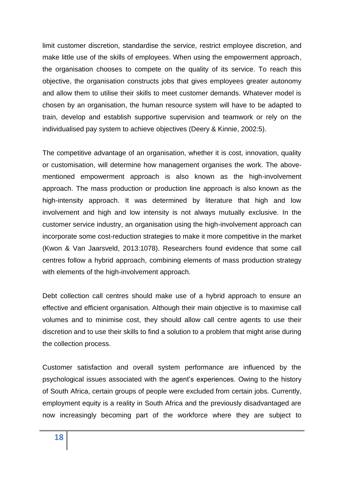limit customer discretion, standardise the service, restrict employee discretion, and make little use of the skills of employees. When using the empowerment approach, the organisation chooses to compete on the quality of its service. To reach this objective, the organisation constructs jobs that gives employees greater autonomy and allow them to utilise their skills to meet customer demands. Whatever model is chosen by an organisation, the human resource system will have to be adapted to train, develop and establish supportive supervision and teamwork or rely on the individualised pay system to achieve objectives (Deery & Kinnie, 2002:5).

The competitive advantage of an organisation, whether it is cost, innovation, quality or customisation, will determine how management organises the work. The abovementioned empowerment approach is also known as the high-involvement approach. The mass production or production line approach is also known as the high-intensity approach. It was determined by literature that high and low involvement and high and low intensity is not always mutually exclusive. In the customer service industry, an organisation using the high-involvement approach can incorporate some cost-reduction strategies to make it more competitive in the market (Kwon & Van Jaarsveld, 2013:1078). Researchers found evidence that some call centres follow a hybrid approach, combining elements of mass production strategy with elements of the high-involvement approach.

Debt collection call centres should make use of a hybrid approach to ensure an effective and efficient organisation. Although their main objective is to maximise call volumes and to minimise cost, they should allow call centre agents to use their discretion and to use their skills to find a solution to a problem that might arise during the collection process.

Customer satisfaction and overall system performance are influenced by the psychological issues associated with the agent's experiences. Owing to the history of South Africa, certain groups of people were excluded from certain jobs. Currently, employment equity is a reality in South Africa and the previously disadvantaged are now increasingly becoming part of the workforce where they are subject to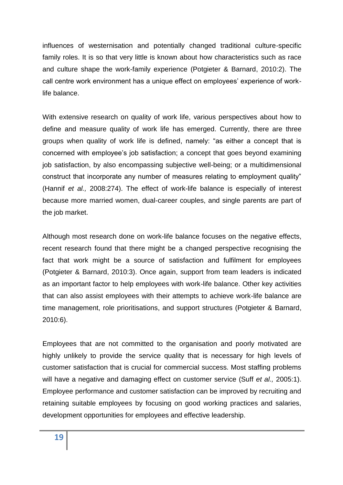influences of westernisation and potentially changed traditional culture-specific family roles. It is so that very little is known about how characteristics such as race and culture shape the work-family experience (Potgieter & Barnard, 2010:2). The call centre work environment has a unique effect on employees' experience of worklife balance.

With extensive research on quality of work life, various perspectives about how to define and measure quality of work life has emerged. Currently, there are three groups when quality of work life is defined, namely: "as either a concept that is concerned with employee's job satisfaction; a concept that goes beyond examining job satisfaction, by also encompassing subjective well-being; or a multidimensional construct that incorporate any number of measures relating to employment quality" (Hannif *et al.,* 2008:274). The effect of work-life balance is especially of interest because more married women, dual-career couples, and single parents are part of the job market.

Although most research done on work-life balance focuses on the negative effects, recent research found that there might be a changed perspective recognising the fact that work might be a source of satisfaction and fulfilment for employees (Potgieter & Barnard, 2010:3). Once again, support from team leaders is indicated as an important factor to help employees with work-life balance. Other key activities that can also assist employees with their attempts to achieve work-life balance are time management, role prioritisations, and support structures (Potgieter & Barnard, 2010:6).

Employees that are not committed to the organisation and poorly motivated are highly unlikely to provide the service quality that is necessary for high levels of customer satisfaction that is crucial for commercial success. Most staffing problems will have a negative and damaging effect on customer service (Suff *et al.,* 2005:1). Employee performance and customer satisfaction can be improved by recruiting and retaining suitable employees by focusing on good working practices and salaries, development opportunities for employees and effective leadership.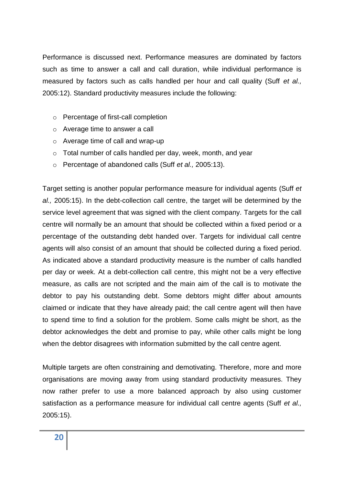Performance is discussed next. Performance measures are dominated by factors such as time to answer a call and call duration, while individual performance is measured by factors such as calls handled per hour and call quality (Suff *et al.,* 2005:12). Standard productivity measures include the following:

- o Percentage of first-call completion
- o Average time to answer a call
- o Average time of call and wrap-up
- o Total number of calls handled per day, week, month, and year
- o Percentage of abandoned calls (Suff *et al.,* 2005:13).

Target setting is another popular performance measure for individual agents (Suff *et al.,* 2005:15). In the debt-collection call centre, the target will be determined by the service level agreement that was signed with the client company. Targets for the call centre will normally be an amount that should be collected within a fixed period or a percentage of the outstanding debt handed over. Targets for individual call centre agents will also consist of an amount that should be collected during a fixed period. As indicated above a standard productivity measure is the number of calls handled per day or week. At a debt-collection call centre, this might not be a very effective measure, as calls are not scripted and the main aim of the call is to motivate the debtor to pay his outstanding debt. Some debtors might differ about amounts claimed or indicate that they have already paid; the call centre agent will then have to spend time to find a solution for the problem. Some calls might be short, as the debtor acknowledges the debt and promise to pay, while other calls might be long when the debtor disagrees with information submitted by the call centre agent.

Multiple targets are often constraining and demotivating. Therefore, more and more organisations are moving away from using standard productivity measures. They now rather prefer to use a more balanced approach by also using customer satisfaction as a performance measure for individual call centre agents (Suff *et al.,* 2005:15).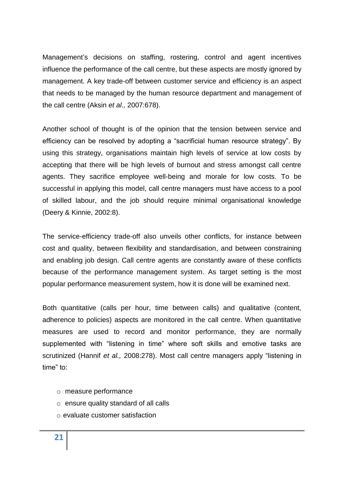Management's decisions on staffing, rostering, control and agent incentives influence the performance of the call centre, but these aspects are mostly ignored by management. A key trade-off between customer service and efficiency is an aspect that needs to be managed by the human resource department and management of the call centre (Aksin *et al.,* 2007:678).

Another school of thought is of the opinion that the tension between service and efficiency can be resolved by adopting a "sacrificial human resource strategy". By using this strategy, organisations maintain high levels of service at low costs by accepting that there will be high levels of burnout and stress amongst call centre agents. They sacrifice employee well-being and morale for low costs. To be successful in applying this model, call centre managers must have access to a pool of skilled labour, and the job should require minimal organisational knowledge (Deery & Kinnie, 2002:8).

The service-efficiency trade-off also unveils other conflicts, for instance between cost and quality, between flexibility and standardisation, and between constraining and enabling job design. Call centre agents are constantly aware of these conflicts because of the performance management system. As target setting is the most popular performance measurement system, how it is done will be examined next.

Both quantitative (calls per hour, time between calls) and qualitative (content, adherence to policies) aspects are monitored in the call centre. When quantitative measures are used to record and monitor performance, they are normally supplemented with "listening in time" where soft skills and emotive tasks are scrutinized (Hannif *et al.,* 2008:278). Most call centre managers apply "listening in time" to:

- o measure performance
- o ensure quality standard of all calls
- o evaluate customer satisfaction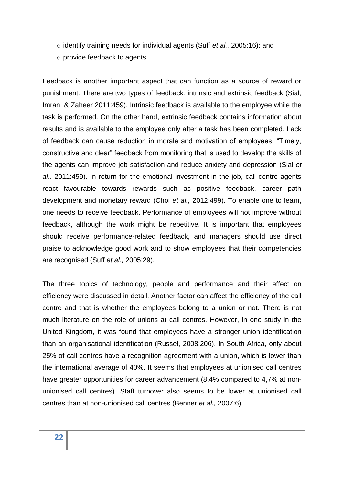- o identify training needs for individual agents (Suff *et al.,* 2005:16): and
- o provide feedback to agents

Feedback is another important aspect that can function as a source of reward or punishment. There are two types of feedback: intrinsic and extrinsic feedback (Sial, Imran, & Zaheer 2011:459). Intrinsic feedback is available to the employee while the task is performed. On the other hand, extrinsic feedback contains information about results and is available to the employee only after a task has been completed. Lack of feedback can cause reduction in morale and motivation of employees. "Timely, constructive and clear" feedback from monitoring that is used to develop the skills of the agents can improve job satisfaction and reduce anxiety and depression (Sial *et al.,* 2011:459). In return for the emotional investment in the job, call centre agents react favourable towards rewards such as positive feedback, career path development and monetary reward (Choi *et al.,* 2012:499). To enable one to learn, one needs to receive feedback. Performance of employees will not improve without feedback, although the work might be repetitive. It is important that employees should receive performance-related feedback, and managers should use direct praise to acknowledge good work and to show employees that their competencies are recognised (Suff *et al.,* 2005:29).

The three topics of technology, people and performance and their effect on efficiency were discussed in detail. Another factor can affect the efficiency of the call centre and that is whether the employees belong to a union or not. There is not much literature on the role of unions at call centres. However, in one study in the United Kingdom, it was found that employees have a stronger union identification than an organisational identification (Russel, 2008:206). In South Africa, only about 25% of call centres have a recognition agreement with a union, which is lower than the international average of 40%. It seems that employees at unionised call centres have greater opportunities for career advancement (8,4% compared to 4,7% at nonunionised call centres). Staff turnover also seems to be lower at unionised call centres than at non-unionised call centres (Benner *et al.,* 2007:6).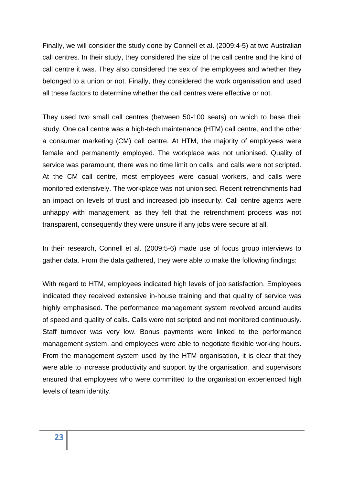Finally, we will consider the study done by Connell et al. (2009:4-5) at two Australian call centres. In their study, they considered the size of the call centre and the kind of call centre it was. They also considered the sex of the employees and whether they belonged to a union or not. Finally, they considered the work organisation and used all these factors to determine whether the call centres were effective or not.

They used two small call centres (between 50-100 seats) on which to base their study. One call centre was a high-tech maintenance (HTM) call centre, and the other a consumer marketing (CM) call centre. At HTM, the majority of employees were female and permanently employed. The workplace was not unionised. Quality of service was paramount, there was no time limit on calls, and calls were not scripted. At the CM call centre, most employees were casual workers, and calls were monitored extensively. The workplace was not unionised. Recent retrenchments had an impact on levels of trust and increased job insecurity. Call centre agents were unhappy with management, as they felt that the retrenchment process was not transparent, consequently they were unsure if any jobs were secure at all.

In their research, Connell et al. (2009:5-6) made use of focus group interviews to gather data. From the data gathered, they were able to make the following findings:

With regard to HTM, employees indicated high levels of job satisfaction. Employees indicated they received extensive in-house training and that quality of service was highly emphasised. The performance management system revolved around audits of speed and quality of calls. Calls were not scripted and not monitored continuously. Staff turnover was very low. Bonus payments were linked to the performance management system, and employees were able to negotiate flexible working hours. From the management system used by the HTM organisation, it is clear that they were able to increase productivity and support by the organisation, and supervisors ensured that employees who were committed to the organisation experienced high levels of team identity.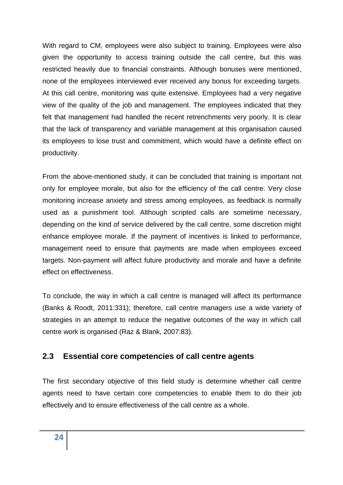With regard to CM, employees were also subject to training. Employees were also given the opportunity to access training outside the call centre, but this was restricted heavily due to financial constraints. Although bonuses were mentioned, none of the employees interviewed ever received any bonus for exceeding targets. At this call centre, monitoring was quite extensive. Employees had a very negative view of the quality of the job and management. The employees indicated that they felt that management had handled the recent retrenchments very poorly. It is clear that the lack of transparency and variable management at this organisation caused its employees to lose trust and commitment, which would have a definite effect on productivity.

From the above-mentioned study, it can be concluded that training is important not only for employee morale, but also for the efficiency of the call centre. Very close monitoring increase anxiety and stress among employees, as feedback is normally used as a punishment tool. Although scripted calls are sometime necessary, depending on the kind of service delivered by the call centre, some discretion might enhance employee morale. If the payment of incentives is linked to performance, management need to ensure that payments are made when employees exceed targets. Non-payment will affect future productivity and morale and have a definite effect on effectiveness.

To conclude, the way in which a call centre is managed will affect its performance (Banks & Roodt, 2011:331); therefore, call centre managers use a wide variety of strategies in an attempt to reduce the negative outcomes of the way in which call centre work is organised (Raz & Blank, 2007:83).

## **2.3 Essential core competencies of call centre agents**

The first secondary objective of this field study is determine whether call centre agents need to have certain core competencies to enable them to do their job effectively and to ensure effectiveness of the call centre as a whole.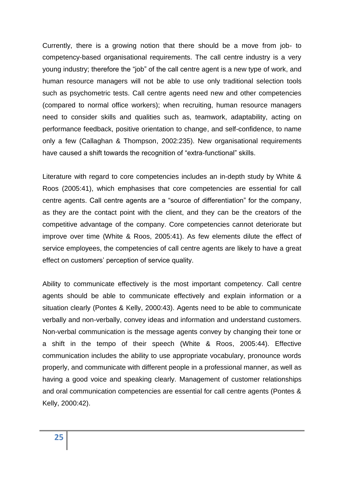Currently, there is a growing notion that there should be a move from job- to competency-based organisational requirements. The call centre industry is a very young industry; therefore the "job" of the call centre agent is a new type of work, and human resource managers will not be able to use only traditional selection tools such as psychometric tests. Call centre agents need new and other competencies (compared to normal office workers); when recruiting, human resource managers need to consider skills and qualities such as, teamwork, adaptability, acting on performance feedback, positive orientation to change, and self-confidence, to name only a few (Callaghan & Thompson, 2002:235). New organisational requirements have caused a shift towards the recognition of "extra-functional" skills.

Literature with regard to core competencies includes an in-depth study by White & Roos (2005:41), which emphasises that core competencies are essential for call centre agents. Call centre agents are a "source of differentiation" for the company, as they are the contact point with the client, and they can be the creators of the competitive advantage of the company. Core competencies cannot deteriorate but improve over time (White & Roos, 2005:41). As few elements dilute the effect of service employees, the competencies of call centre agents are likely to have a great effect on customers' perception of service quality.

Ability to communicate effectively is the most important competency. Call centre agents should be able to communicate effectively and explain information or a situation clearly (Pontes & Kelly, 2000:43). Agents need to be able to communicate verbally and non-verbally, convey ideas and information and understand customers. Non-verbal communication is the message agents convey by changing their tone or a shift in the tempo of their speech (White & Roos, 2005:44). Effective communication includes the ability to use appropriate vocabulary, pronounce words properly, and communicate with different people in a professional manner, as well as having a good voice and speaking clearly. Management of customer relationships and oral communication competencies are essential for call centre agents (Pontes & Kelly, 2000:42).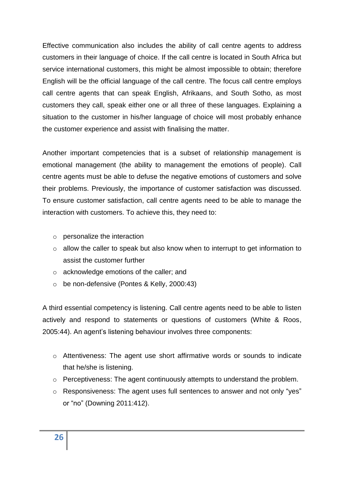Effective communication also includes the ability of call centre agents to address customers in their language of choice. If the call centre is located in South Africa but service international customers, this might be almost impossible to obtain; therefore English will be the official language of the call centre. The focus call centre employs call centre agents that can speak English, Afrikaans, and South Sotho, as most customers they call, speak either one or all three of these languages. Explaining a situation to the customer in his/her language of choice will most probably enhance the customer experience and assist with finalising the matter.

Another important competencies that is a subset of relationship management is emotional management (the ability to management the emotions of people). Call centre agents must be able to defuse the negative emotions of customers and solve their problems. Previously, the importance of customer satisfaction was discussed. To ensure customer satisfaction, call centre agents need to be able to manage the interaction with customers. To achieve this, they need to:

- o personalize the interaction
- o allow the caller to speak but also know when to interrupt to get information to assist the customer further
- o acknowledge emotions of the caller; and
- o be non-defensive (Pontes & Kelly, 2000:43)

A third essential competency is listening. Call centre agents need to be able to listen actively and respond to statements or questions of customers (White & Roos, 2005:44). An agent's listening behaviour involves three components:

- o Attentiveness: The agent use short affirmative words or sounds to indicate that he/she is listening.
- o Perceptiveness: The agent continuously attempts to understand the problem.
- o Responsiveness: The agent uses full sentences to answer and not only "yes" or "no" (Downing 2011:412).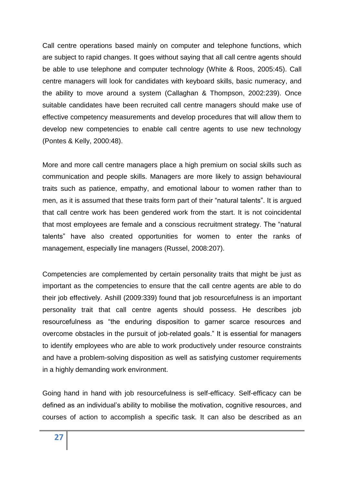Call centre operations based mainly on computer and telephone functions, which are subject to rapid changes. It goes without saying that all call centre agents should be able to use telephone and computer technology (White & Roos, 2005:45). Call centre managers will look for candidates with keyboard skills, basic numeracy, and the ability to move around a system (Callaghan & Thompson, 2002:239). Once suitable candidates have been recruited call centre managers should make use of effective competency measurements and develop procedures that will allow them to develop new competencies to enable call centre agents to use new technology (Pontes & Kelly, 2000:48).

More and more call centre managers place a high premium on social skills such as communication and people skills. Managers are more likely to assign behavioural traits such as patience, empathy, and emotional labour to women rather than to men, as it is assumed that these traits form part of their "natural talents". It is argued that call centre work has been gendered work from the start. It is not coincidental that most employees are female and a conscious recruitment strategy. The "natural talents" have also created opportunities for women to enter the ranks of management, especially line managers (Russel, 2008:207).

Competencies are complemented by certain personality traits that might be just as important as the competencies to ensure that the call centre agents are able to do their job effectively. Ashill (2009:339) found that job resourcefulness is an important personality trait that call centre agents should possess. He describes job resourcefulness as "the enduring disposition to garner scarce resources and overcome obstacles in the pursuit of job-related goals." It is essential for managers to identify employees who are able to work productively under resource constraints and have a problem-solving disposition as well as satisfying customer requirements in a highly demanding work environment.

Going hand in hand with job resourcefulness is self-efficacy. Self-efficacy can be defined as an individual's ability to mobilise the motivation, cognitive resources, and courses of action to accomplish a specific task. It can also be described as an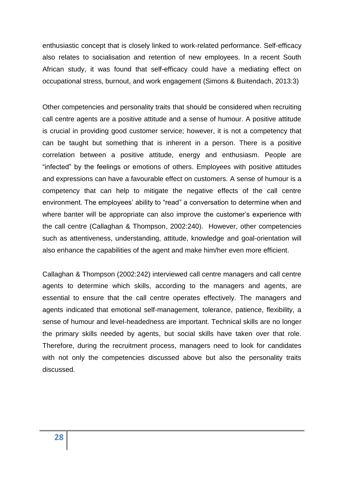enthusiastic concept that is closely linked to work-related performance. Self-efficacy also relates to socialisation and retention of new employees. In a recent South African study, it was found that self-efficacy could have a mediating effect on occupational stress, burnout, and work engagement (Simons & Buitendach, 2013:3)

Other competencies and personality traits that should be considered when recruiting call centre agents are a positive attitude and a sense of humour. A positive attitude is crucial in providing good customer service; however, it is not a competency that can be taught but something that is inherent in a person. There is a positive correlation between a positive attitude, energy and enthusiasm. People are "infected" by the feelings or emotions of others. Employees with positive attitudes and expressions can have a favourable effect on customers. A sense of humour is a competency that can help to mitigate the negative effects of the call centre environment. The employees' ability to "read" a conversation to determine when and where banter will be appropriate can also improve the customer's experience with the call centre (Callaghan & Thompson, 2002:240). However, other competencies such as attentiveness, understanding, attitude, knowledge and goal-orientation will also enhance the capabilities of the agent and make him/her even more efficient.

Callaghan & Thompson (2002:242) interviewed call centre managers and call centre agents to determine which skills, according to the managers and agents, are essential to ensure that the call centre operates effectively. The managers and agents indicated that emotional self-management, tolerance, patience, flexibility, a sense of humour and level-headedness are important. Technical skills are no longer the primary skills needed by agents, but social skills have taken over that role. Therefore, during the recruitment process, managers need to look for candidates with not only the competencies discussed above but also the personality traits discussed.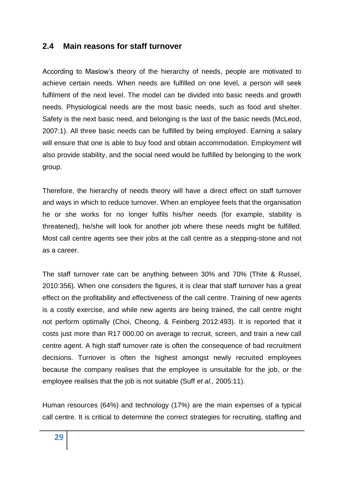#### **2.4 Main reasons for staff turnover**

According to Maslow's theory of the hierarchy of needs, people are motivated to achieve certain needs. When needs are fulfilled on one level, a person will seek fulfilment of the next level. The model can be divided into basic needs and growth needs. Physiological needs are the most basic needs, such as food and shelter. Safety is the next basic need, and belonging is the last of the basic needs (McLeod, 2007:1). All three basic needs can be fulfilled by being employed. Earning a salary will ensure that one is able to buy food and obtain accommodation. Employment will also provide stability, and the social need would be fulfilled by belonging to the work group.

Therefore, the hierarchy of needs theory will have a direct effect on staff turnover and ways in which to reduce turnover. When an employee feels that the organisation he or she works for no longer fulfils his/her needs (for example, stability is threatened), he/she will look for another job where these needs might be fulfilled. Most call centre agents see their jobs at the call centre as a stepping-stone and not as a career.

The staff turnover rate can be anything between 30% and 70% (Thite & Russel, 2010:356). When one considers the figures, it is clear that staff turnover has a great effect on the profitability and effectiveness of the call centre. Training of new agents is a costly exercise, and while new agents are being trained, the call centre might not perform optimally (Choi, Cheong, & Feinberg 2012:493). It is reported that it costs just more than R17 000.00 on average to recruit, screen, and train a new call centre agent. A high staff turnover rate is often the consequence of bad recruitment decisions. Turnover is often the highest amongst newly recruited employees because the company realises that the employee is unsuitable for the job, or the employee realises that the job is not suitable (Suff *et al.,* 2005:11).

Human resources (64%) and technology (17%) are the main expenses of a typical call centre. It is critical to determine the correct strategies for recruiting, staffing and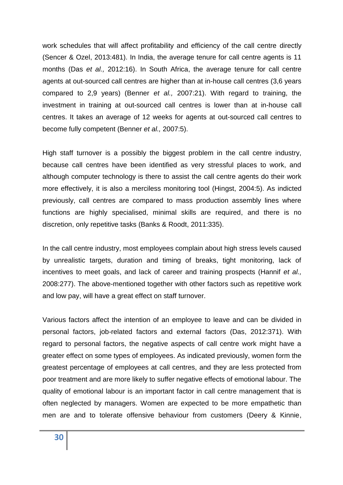work schedules that will affect profitability and efficiency of the call centre directly (Sencer & Ozel, 2013:481). In India, the average tenure for call centre agents is 11 months (Das *et al.,* 2012:16). In South Africa, the average tenure for call centre agents at out-sourced call centres are higher than at in-house call centres (3,6 years compared to 2,9 years) (Benner *et al.,* 2007:21). With regard to training, the investment in training at out-sourced call centres is lower than at in-house call centres. It takes an average of 12 weeks for agents at out-sourced call centres to become fully competent (Benner *et al.,* 2007:5).

High staff turnover is a possibly the biggest problem in the call centre industry, because call centres have been identified as very stressful places to work, and although computer technology is there to assist the call centre agents do their work more effectively, it is also a merciless monitoring tool (Hingst, 2004:5). As indicted previously, call centres are compared to mass production assembly lines where functions are highly specialised, minimal skills are required, and there is no discretion, only repetitive tasks (Banks & Roodt, 2011:335).

In the call centre industry, most employees complain about high stress levels caused by unrealistic targets, duration and timing of breaks, tight monitoring, lack of incentives to meet goals, and lack of career and training prospects (Hannif *et al.,* 2008:277). The above-mentioned together with other factors such as repetitive work and low pay, will have a great effect on staff turnover.

Various factors affect the intention of an employee to leave and can be divided in personal factors, job-related factors and external factors (Das, 2012:371). With regard to personal factors, the negative aspects of call centre work might have a greater effect on some types of employees. As indicated previously, women form the greatest percentage of employees at call centres, and they are less protected from poor treatment and are more likely to suffer negative effects of emotional labour. The quality of emotional labour is an important factor in call centre management that is often neglected by managers. Women are expected to be more empathetic than men are and to tolerate offensive behaviour from customers (Deery & Kinnie,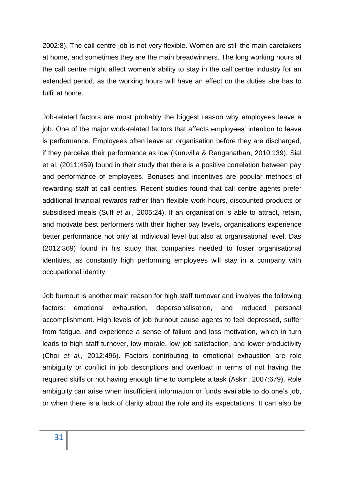2002:8). The call centre job is not very flexible. Women are still the main caretakers at home, and sometimes they are the main breadwinners. The long working hours at the call centre might affect women's ability to stay in the call centre industry for an extended period, as the working hours will have an effect on the duties she has to fulfil at home.

Job-related factors are most probably the biggest reason why employees leave a job. One of the major work-related factors that affects employees' intention to leave is performance. Employees often leave an organisation before they are discharged, if they perceive their performance as low (Kuruvilla & Ranganathan, 2010:139). Sial et al. (2011:459) found in their study that there is a positive correlation between pay and performance of employees. Bonuses and incentives are popular methods of rewarding staff at call centres. Recent studies found that call centre agents prefer additional financial rewards rather than flexible work hours, discounted products or subsidised meals (Suff *et al.,* 2005:24). If an organisation is able to attract, retain, and motivate best performers with their higher pay levels, organisations experience better performance not only at individual level but also at organisational level. Das (2012:369) found in his study that companies needed to foster organisational identities, as constantly high performing employees will stay in a company with occupational identity.

Job burnout is another main reason for high staff turnover and involves the following factors: emotional exhaustion, depersonalisation, and reduced personal accomplishment. High levels of job burnout cause agents to feel depressed, suffer from fatigue, and experience a sense of failure and loss motivation, which in turn leads to high staff turnover, low morale, low job satisfaction, and lower productivity (Choi *et al.,* 2012:496). Factors contributing to emotional exhaustion are role ambiguity or conflict in job descriptions and overload in terms of not having the required skills or not having enough time to complete a task (Askin, 2007:679). Role ambiguity can arise when insufficient information or funds available to do one's job, or when there is a lack of clarity about the role and its expectations. It can also be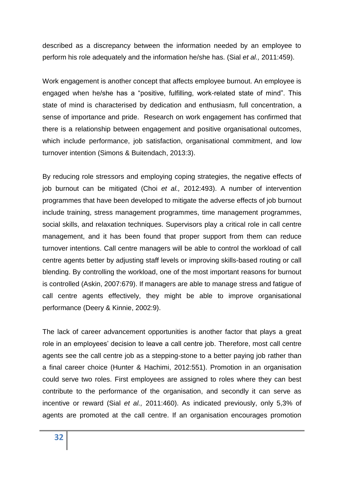described as a discrepancy between the information needed by an employee to perform his role adequately and the information he/she has. (Sial *et al.,* 2011:459).

Work engagement is another concept that affects employee burnout. An employee is engaged when he/she has a "positive, fulfilling, work-related state of mind". This state of mind is characterised by dedication and enthusiasm, full concentration, a sense of importance and pride. Research on work engagement has confirmed that there is a relationship between engagement and positive organisational outcomes, which include performance, job satisfaction, organisational commitment, and low turnover intention (Simons & Buitendach, 2013:3).

By reducing role stressors and employing coping strategies, the negative effects of job burnout can be mitigated (Choi *et al.,* 2012:493). A number of intervention programmes that have been developed to mitigate the adverse effects of job burnout include training, stress management programmes, time management programmes, social skills, and relaxation techniques. Supervisors play a critical role in call centre management, and it has been found that proper support from them can reduce turnover intentions. Call centre managers will be able to control the workload of call centre agents better by adjusting staff levels or improving skills-based routing or call blending. By controlling the workload, one of the most important reasons for burnout is controlled (Askin, 2007:679). If managers are able to manage stress and fatigue of call centre agents effectively, they might be able to improve organisational performance (Deery & Kinnie, 2002:9).

The lack of career advancement opportunities is another factor that plays a great role in an employees' decision to leave a call centre job. Therefore, most call centre agents see the call centre job as a stepping-stone to a better paying job rather than a final career choice (Hunter & Hachimi, 2012:551). Promotion in an organisation could serve two roles. First employees are assigned to roles where they can best contribute to the performance of the organisation, and secondly it can serve as incentive or reward (Sial *et al.,* 2011:460). As indicated previously, only 5,3% of agents are promoted at the call centre. If an organisation encourages promotion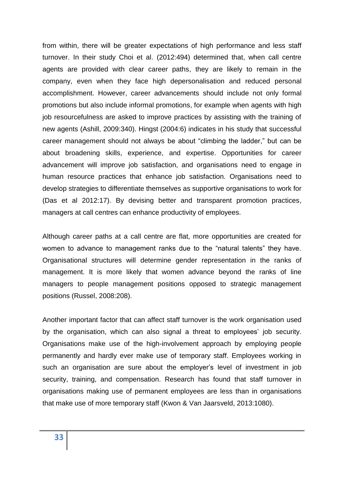from within, there will be greater expectations of high performance and less staff turnover. In their study Choi et al. (2012:494) determined that, when call centre agents are provided with clear career paths, they are likely to remain in the company, even when they face high depersonalisation and reduced personal accomplishment. However, career advancements should include not only formal promotions but also include informal promotions, for example when agents with high job resourcefulness are asked to improve practices by assisting with the training of new agents (Ashill, 2009:340). Hingst (2004:6) indicates in his study that successful career management should not always be about "climbing the ladder," but can be about broadening skills, experience, and expertise. Opportunities for career advancement will improve job satisfaction, and organisations need to engage in human resource practices that enhance job satisfaction. Organisations need to develop strategies to differentiate themselves as supportive organisations to work for (Das et al 2012:17). By devising better and transparent promotion practices, managers at call centres can enhance productivity of employees.

Although career paths at a call centre are flat, more opportunities are created for women to advance to management ranks due to the "natural talents" they have. Organisational structures will determine gender representation in the ranks of management. It is more likely that women advance beyond the ranks of line managers to people management positions opposed to strategic management positions (Russel, 2008:208).

Another important factor that can affect staff turnover is the work organisation used by the organisation, which can also signal a threat to employees' job security. Organisations make use of the high-involvement approach by employing people permanently and hardly ever make use of temporary staff. Employees working in such an organisation are sure about the employer's level of investment in job security, training, and compensation. Research has found that staff turnover in organisations making use of permanent employees are less than in organisations that make use of more temporary staff (Kwon & Van Jaarsveld, 2013:1080).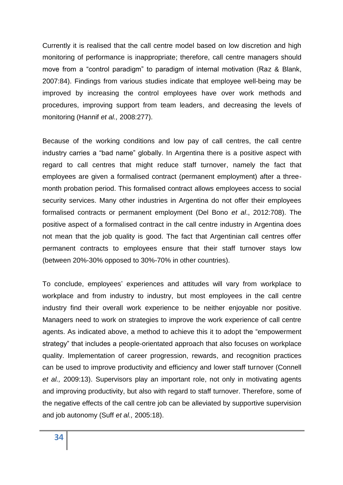Currently it is realised that the call centre model based on low discretion and high monitoring of performance is inappropriate; therefore, call centre managers should move from a "control paradigm" to paradigm of internal motivation (Raz & Blank, 2007:84). Findings from various studies indicate that employee well-being may be improved by increasing the control employees have over work methods and procedures, improving support from team leaders, and decreasing the levels of monitoring (Hannif *et al.,* 2008:277).

Because of the working conditions and low pay of call centres, the call centre industry carries a "bad name" globally. In Argentina there is a positive aspect with regard to call centres that might reduce staff turnover, namely the fact that employees are given a formalised contract (permanent employment) after a threemonth probation period. This formalised contract allows employees access to social security services. Many other industries in Argentina do not offer their employees formalised contracts or permanent employment (Del Bono *et al*., 2012:708). The positive aspect of a formalised contract in the call centre industry in Argentina does not mean that the job quality is good. The fact that Argentinian call centres offer permanent contracts to employees ensure that their staff turnover stays low (between 20%-30% opposed to 30%-70% in other countries).

To conclude, employees' experiences and attitudes will vary from workplace to workplace and from industry to industry, but most employees in the call centre industry find their overall work experience to be neither enjoyable nor positive. Managers need to work on strategies to improve the work experience of call centre agents. As indicated above, a method to achieve this it to adopt the "empowerment strategy" that includes a people-orientated approach that also focuses on workplace quality. Implementation of career progression, rewards, and recognition practices can be used to improve productivity and efficiency and lower staff turnover (Connell *et al.,* 2009:13). Supervisors play an important role, not only in motivating agents and improving productivity, but also with regard to staff turnover. Therefore, some of the negative effects of the call centre job can be alleviated by supportive supervision and job autonomy (Suff *et al.,* 2005:18).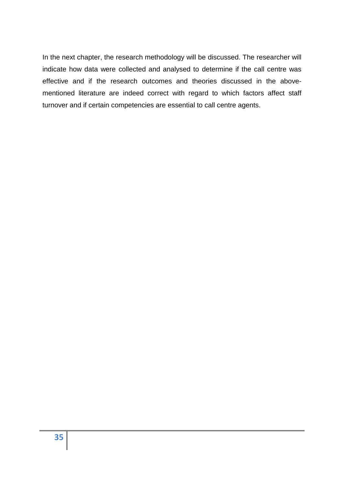In the next chapter, the research methodology will be discussed. The researcher will indicate how data were collected and analysed to determine if the call centre was effective and if the research outcomes and theories discussed in the abovementioned literature are indeed correct with regard to which factors affect staff turnover and if certain competencies are essential to call centre agents.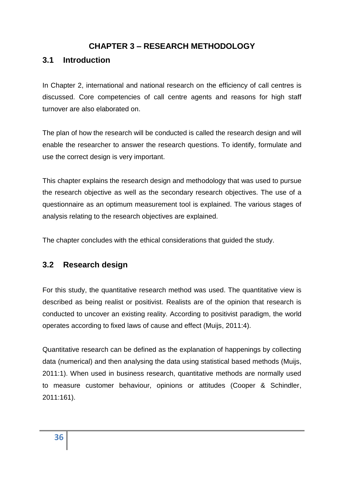## **CHAPTER 3 – RESEARCH METHODOLOGY**

#### **3.1 Introduction**

In Chapter 2, international and national research on the efficiency of call centres is discussed. Core competencies of call centre agents and reasons for high staff turnover are also elaborated on.

The plan of how the research will be conducted is called the research design and will enable the researcher to answer the research questions. To identify, formulate and use the correct design is very important.

This chapter explains the research design and methodology that was used to pursue the research objective as well as the secondary research objectives. The use of a questionnaire as an optimum measurement tool is explained. The various stages of analysis relating to the research objectives are explained.

The chapter concludes with the ethical considerations that guided the study.

#### **3.2 Research design**

For this study, the quantitative research method was used. The quantitative view is described as being realist or positivist. Realists are of the opinion that research is conducted to uncover an existing reality. According to positivist paradigm, the world operates according to fixed laws of cause and effect (Muijs, 2011:4).

Quantitative research can be defined as the explanation of happenings by collecting data (numerical) and then analysing the data using statistical based methods (Muijs, 2011:1). When used in business research, quantitative methods are normally used to measure customer behaviour, opinions or attitudes (Cooper & Schindler, 2011:161).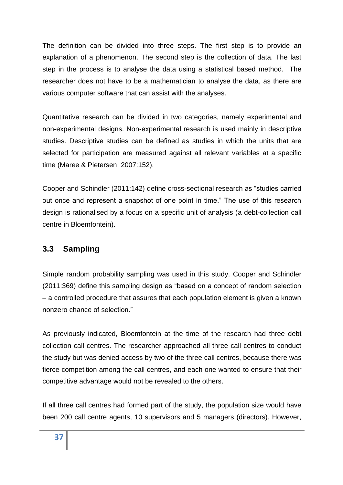The definition can be divided into three steps. The first step is to provide an explanation of a phenomenon. The second step is the collection of data. The last step in the process is to analyse the data using a statistical based method. The researcher does not have to be a mathematician to analyse the data, as there are various computer software that can assist with the analyses.

Quantitative research can be divided in two categories, namely experimental and non-experimental designs. Non-experimental research is used mainly in descriptive studies. Descriptive studies can be defined as studies in which the units that are selected for participation are measured against all relevant variables at a specific time (Maree & Pietersen, 2007:152).

Cooper and Schindler (2011:142) define cross-sectional research as "studies carried out once and represent a snapshot of one point in time." The use of this research design is rationalised by a focus on a specific unit of analysis (a debt-collection call centre in Bloemfontein).

## **3.3 Sampling**

Simple random probability sampling was used in this study. Cooper and Schindler (2011:369) define this sampling design as "based on a concept of random selection – a controlled procedure that assures that each population element is given a known nonzero chance of selection."

As previously indicated, Bloemfontein at the time of the research had three debt collection call centres. The researcher approached all three call centres to conduct the study but was denied access by two of the three call centres, because there was fierce competition among the call centres, and each one wanted to ensure that their competitive advantage would not be revealed to the others.

If all three call centres had formed part of the study, the population size would have been 200 call centre agents, 10 supervisors and 5 managers (directors). However,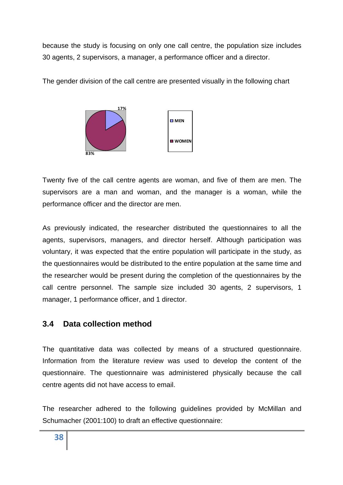because the study is focusing on only one call centre, the population size includes 30 agents, 2 supervisors, a manager, a performance officer and a director.

The gender division of the call centre are presented visually in the following chart



Twenty five of the call centre agents are woman, and five of them are men. The supervisors are a man and woman, and the manager is a woman, while the performance officer and the director are men.

As previously indicated, the researcher distributed the questionnaires to all the agents, supervisors, managers, and director herself. Although participation was voluntary, it was expected that the entire population will participate in the study, as the questionnaires would be distributed to the entire population at the same time and the researcher would be present during the completion of the questionnaires by the call centre personnel. The sample size included 30 agents, 2 supervisors, 1 manager, 1 performance officer, and 1 director.

## **3.4 Data collection method**

The quantitative data was collected by means of a structured questionnaire. Information from the literature review was used to develop the content of the questionnaire. The questionnaire was administered physically because the call centre agents did not have access to email.

The researcher adhered to the following guidelines provided by McMillan and Schumacher (2001:100) to draft an effective questionnaire: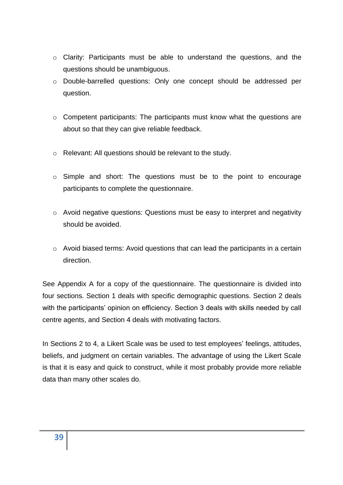- o Clarity: Participants must be able to understand the questions, and the questions should be unambiguous.
- o Double-barrelled questions: Only one concept should be addressed per question.
- o Competent participants: The participants must know what the questions are about so that they can give reliable feedback.
- o Relevant: All questions should be relevant to the study.
- o Simple and short: The questions must be to the point to encourage participants to complete the questionnaire.
- o Avoid negative questions: Questions must be easy to interpret and negativity should be avoided.
- o Avoid biased terms: Avoid questions that can lead the participants in a certain direction.

See Appendix A for a copy of the questionnaire. The questionnaire is divided into four sections. Section 1 deals with specific demographic questions. Section 2 deals with the participants' opinion on efficiency. Section 3 deals with skills needed by call centre agents, and Section 4 deals with motivating factors.

In Sections 2 to 4, a Likert Scale was be used to test employees' feelings, attitudes, beliefs, and judgment on certain variables. The advantage of using the Likert Scale is that it is easy and quick to construct, while it most probably provide more reliable data than many other scales do.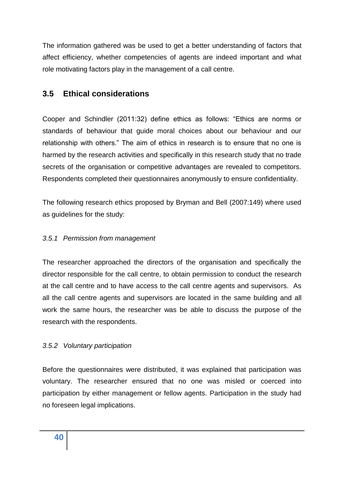The information gathered was be used to get a better understanding of factors that affect efficiency, whether competencies of agents are indeed important and what role motivating factors play in the management of a call centre.

# **3.5 Ethical considerations**

Cooper and Schindler (2011:32) define ethics as follows: "Ethics are norms or standards of behaviour that guide moral choices about our behaviour and our relationship with others." The aim of ethics in research is to ensure that no one is harmed by the research activities and specifically in this research study that no trade secrets of the organisation or competitive advantages are revealed to competitors. Respondents completed their questionnaires anonymously to ensure confidentiality.

The following research ethics proposed by Bryman and Bell (2007:149) where used as guidelines for the study:

### *3.5.1 Permission from management*

The researcher approached the directors of the organisation and specifically the director responsible for the call centre, to obtain permission to conduct the research at the call centre and to have access to the call centre agents and supervisors. As all the call centre agents and supervisors are located in the same building and all work the same hours, the researcher was be able to discuss the purpose of the research with the respondents.

### *3.5.2 Voluntary participation*

Before the questionnaires were distributed, it was explained that participation was voluntary. The researcher ensured that no one was misled or coerced into participation by either management or fellow agents. Participation in the study had no foreseen legal implications.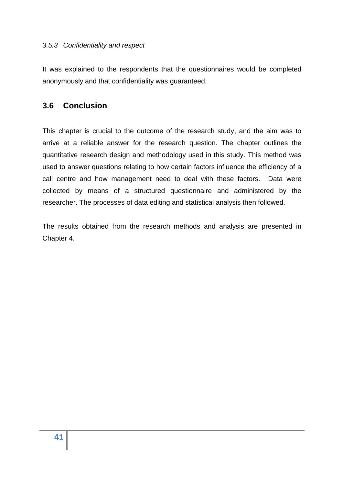### *3.5.3 Confidentiality and respect*

It was explained to the respondents that the questionnaires would be completed anonymously and that confidentiality was guaranteed.

### **3.6 Conclusion**

This chapter is crucial to the outcome of the research study, and the aim was to arrive at a reliable answer for the research question. The chapter outlines the quantitative research design and methodology used in this study. This method was used to answer questions relating to how certain factors influence the efficiency of a call centre and how management need to deal with these factors. Data were collected by means of a structured questionnaire and administered by the researcher. The processes of data editing and statistical analysis then followed.

The results obtained from the research methods and analysis are presented in Chapter 4.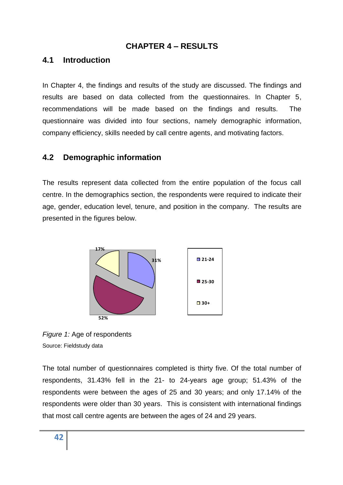### **CHAPTER 4 – RESULTS**

### **4.1 Introduction**

In Chapter 4, the findings and results of the study are discussed. The findings and results are based on data collected from the questionnaires. In Chapter 5, recommendations will be made based on the findings and results. The questionnaire was divided into four sections, namely demographic information, company efficiency, skills needed by call centre agents, and motivating factors.

## **4.2 Demographic information**

The results represent data collected from the entire population of the focus call centre. In the demographics section, the respondents were required to indicate their age, gender, education level, tenure, and position in the company. The results are presented in the figures below.



*Figure 1:* Age of respondents Source: Fieldstudy data

The total number of questionnaires completed is thirty five. Of the total number of respondents, 31.43% fell in the 21- to 24-years age group; 51.43% of the respondents were between the ages of 25 and 30 years; and only 17.14% of the respondents were older than 30 years. This is consistent with international findings that most call centre agents are between the ages of 24 and 29 years.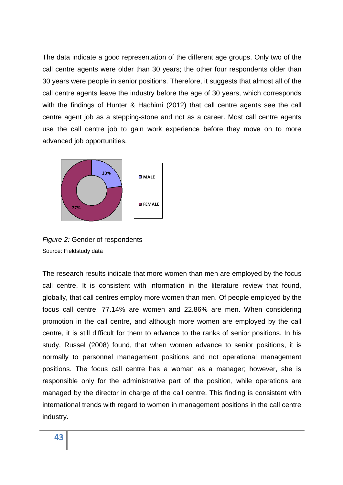The data indicate a good representation of the different age groups. Only two of the call centre agents were older than 30 years; the other four respondents older than 30 years were people in senior positions. Therefore, it suggests that almost all of the call centre agents leave the industry before the age of 30 years, which corresponds with the findings of Hunter & Hachimi (2012) that call centre agents see the call centre agent job as a stepping-stone and not as a career. Most call centre agents use the call centre job to gain work experience before they move on to more advanced job opportunities.



*Figure 2:* Gender of respondents Source: Fieldstudy data

The research results indicate that more women than men are employed by the focus call centre. It is consistent with information in the literature review that found, globally, that call centres employ more women than men. Of people employed by the focus call centre, 77.14% are women and 22.86% are men. When considering promotion in the call centre, and although more women are employed by the call centre, it is still difficult for them to advance to the ranks of senior positions. In his study, Russel (2008) found, that when women advance to senior positions, it is normally to personnel management positions and not operational management positions. The focus call centre has a woman as a manager; however, she is responsible only for the administrative part of the position, while operations are managed by the director in charge of the call centre. This finding is consistent with international trends with regard to women in management positions in the call centre industry.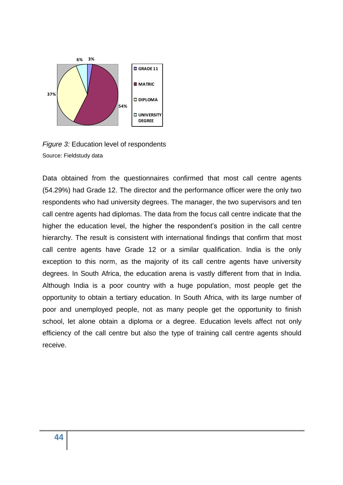

*Figure 3:* Education level of respondents Source: Fieldstudy data

Data obtained from the questionnaires confirmed that most call centre agents (54.29%) had Grade 12. The director and the performance officer were the only two respondents who had university degrees. The manager, the two supervisors and ten call centre agents had diplomas. The data from the focus call centre indicate that the higher the education level, the higher the respondent's position in the call centre hierarchy. The result is consistent with international findings that confirm that most call centre agents have Grade 12 or a similar qualification. India is the only exception to this norm, as the majority of its call centre agents have university degrees. In South Africa, the education arena is vastly different from that in India. Although India is a poor country with a huge population, most people get the opportunity to obtain a tertiary education. In South Africa, with its large number of poor and unemployed people, not as many people get the opportunity to finish school, let alone obtain a diploma or a degree. Education levels affect not only efficiency of the call centre but also the type of training call centre agents should receive.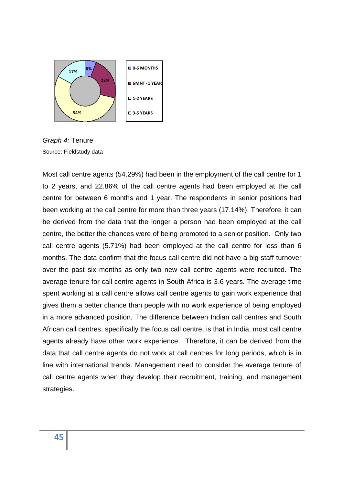

*Graph 4:* Tenure Source: Fieldstudy data

Most call centre agents (54.29%) had been in the employment of the call centre for 1 to 2 years, and 22.86% of the call centre agents had been employed at the call centre for between 6 months and 1 year. The respondents in senior positions had been working at the call centre for more than three years (17.14%). Therefore, it can be derived from the data that the longer a person had been employed at the call centre, the better the chances were of being promoted to a senior position. Only two call centre agents (5.71%) had been employed at the call centre for less than 6 months. The data confirm that the focus call centre did not have a big staff turnover over the past six months as only two new call centre agents were recruited. The average tenure for call centre agents in South Africa is 3.6 years. The average time spent working at a call centre allows call centre agents to gain work experience that gives them a better chance than people with no work experience of being employed in a more advanced position. The difference between Indian call centres and South African call centres, specifically the focus call centre, is that in India, most call centre agents already have other work experience. Therefore, it can be derived from the data that call centre agents do not work at call centres for long periods, which is in line with international trends. Management need to consider the average tenure of call centre agents when they develop their recruitment, training, and management strategies.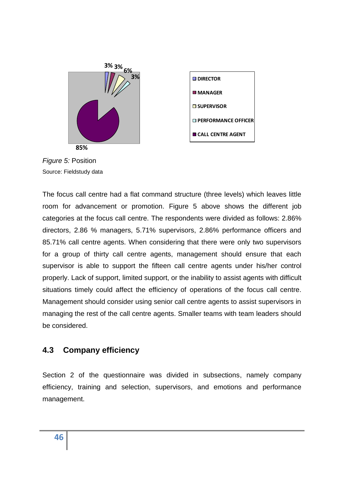

*Figure 5:* Position Source: Fieldstudy data

The focus call centre had a flat command structure (three levels) which leaves little room for advancement or promotion. Figure 5 above shows the different job categories at the focus call centre. The respondents were divided as follows: 2.86% directors, 2.86 % managers, 5.71% supervisors, 2.86% performance officers and 85.71% call centre agents. When considering that there were only two supervisors for a group of thirty call centre agents, management should ensure that each supervisor is able to support the fifteen call centre agents under his/her control properly. Lack of support, limited support, or the inability to assist agents with difficult situations timely could affect the efficiency of operations of the focus call centre. Management should consider using senior call centre agents to assist supervisors in managing the rest of the call centre agents. Smaller teams with team leaders should be considered.

## **4.3 Company efficiency**

Section 2 of the questionnaire was divided in subsections, namely company efficiency, training and selection, supervisors, and emotions and performance management.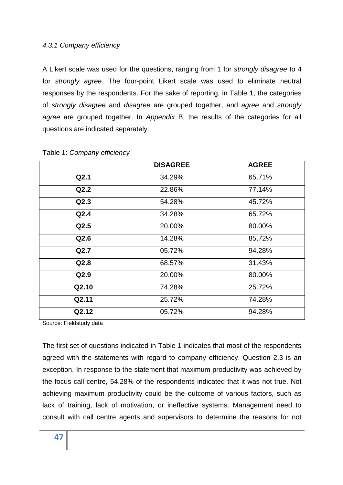### *4.3.1 Company efficiency*

A Likert scale was used for the questions, ranging from 1 for *strongly disagree* to 4 for *strongly agree*. The four-point Likert scale was used to eliminate neutral responses by the respondents. For the sake of reporting, in Table 1, the categories of *strongly disagree* and *disagree* are grouped together, and *agree* and *strongly agree* are grouped together. In *Appendix* B, the results of the categories for all questions are indicated separately.

|       | <b>DISAGREE</b> | <b>AGREE</b> |
|-------|-----------------|--------------|
| Q2.1  | 34.29%          | 65.71%       |
| Q2.2  | 22.86%          | 77.14%       |
| Q2.3  | 54.28%          | 45.72%       |
| Q2.4  | 34.28%          | 65.72%       |
| Q2.5  | 20.00%          | 80.00%       |
| Q2.6  | 14.28%          | 85.72%       |
| Q2.7  | 05.72%          | 94.28%       |
| Q2.8  | 68.57%          | 31.43%       |
| Q2.9  | 20.00%          | 80.00%       |
| Q2.10 | 74.28%          | 25.72%       |
| Q2.11 | 25.72%          | 74.28%       |
| Q2.12 | 05.72%          | 94.28%       |

Table 1: *Company efficiency*

Source: Fieldstudy data

The first set of questions indicated in Table 1 indicates that most of the respondents agreed with the statements with regard to company efficiency. Question 2.3 is an exception. In response to the statement that maximum productivity was achieved by the focus call centre, 54.28% of the respondents indicated that it was not true. Not achieving maximum productivity could be the outcome of various factors, such as lack of training, lack of motivation, or ineffective systems. Management need to consult with call centre agents and supervisors to determine the reasons for not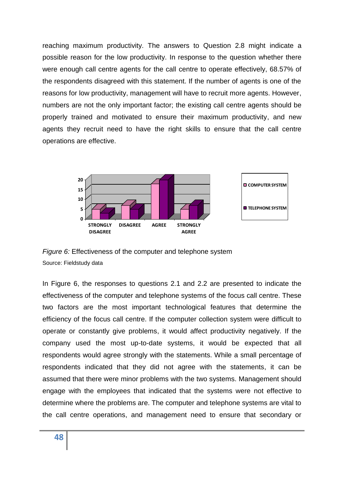reaching maximum productivity. The answers to Question 2.8 might indicate a possible reason for the low productivity. In response to the question whether there were enough call centre agents for the call centre to operate effectively, 68.57% of the respondents disagreed with this statement. If the number of agents is one of the reasons for low productivity, management will have to recruit more agents. However, numbers are not the only important factor; the existing call centre agents should be properly trained and motivated to ensure their maximum productivity, and new agents they recruit need to have the right skills to ensure that the call centre operations are effective.



*Figure 6:* Effectiveness of the computer and telephone system Source: Fieldstudy data

In Figure 6, the responses to questions 2.1 and 2.2 are presented to indicate the effectiveness of the computer and telephone systems of the focus call centre. These two factors are the most important technological features that determine the efficiency of the focus call centre. If the computer collection system were difficult to operate or constantly give problems, it would affect productivity negatively. If the company used the most up-to-date systems, it would be expected that all respondents would agree strongly with the statements. While a small percentage of respondents indicated that they did not agree with the statements, it can be assumed that there were minor problems with the two systems. Management should engage with the employees that indicated that the systems were not effective to determine where the problems are. The computer and telephone systems are vital to the call centre operations, and management need to ensure that secondary or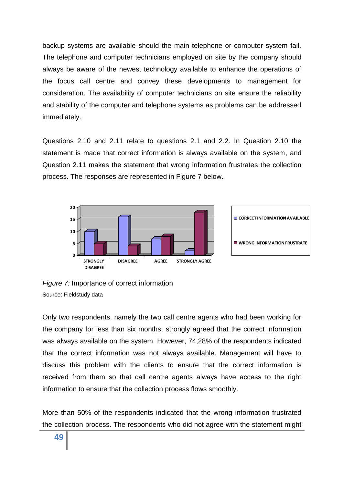backup systems are available should the main telephone or computer system fail. The telephone and computer technicians employed on site by the company should always be aware of the newest technology available to enhance the operations of the focus call centre and convey these developments to management for consideration. The availability of computer technicians on site ensure the reliability and stability of the computer and telephone systems as problems can be addressed immediately.

Questions 2.10 and 2.11 relate to questions 2.1 and 2.2. In Question 2.10 the statement is made that correct information is always available on the system, and Question 2.11 makes the statement that wrong information frustrates the collection process. The responses are represented in Figure 7 below.



*Figure 7:* Importance of correct information Source: Fieldstudy data

Only two respondents, namely the two call centre agents who had been working for the company for less than six months, strongly agreed that the correct information was always available on the system. However, 74,28% of the respondents indicated that the correct information was not always available. Management will have to discuss this problem with the clients to ensure that the correct information is received from them so that call centre agents always have access to the right information to ensure that the collection process flows smoothly.

More than 50% of the respondents indicated that the wrong information frustrated the collection process. The respondents who did not agree with the statement might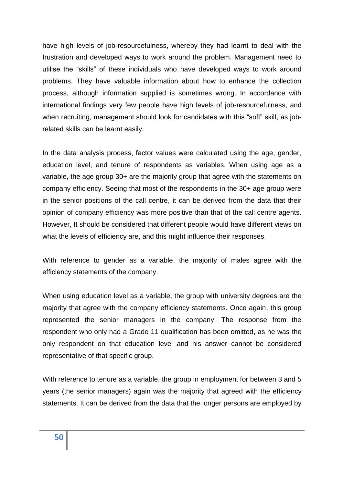have high levels of job-resourcefulness, whereby they had learnt to deal with the frustration and developed ways to work around the problem. Management need to utilise the "skills" of these individuals who have developed ways to work around problems. They have valuable information about how to enhance the collection process, although information supplied is sometimes wrong. In accordance with international findings very few people have high levels of job-resourcefulness, and when recruiting, management should look for candidates with this "soft" skill, as jobrelated skills can be learnt easily.

In the data analysis process, factor values were calculated using the age, gender, education level, and tenure of respondents as variables. When using age as a variable, the age group 30+ are the majority group that agree with the statements on company efficiency. Seeing that most of the respondents in the 30+ age group were in the senior positions of the call centre, it can be derived from the data that their opinion of company efficiency was more positive than that of the call centre agents. However, It should be considered that different people would have different views on what the levels of efficiency are, and this might influence their responses.

With reference to gender as a variable, the majority of males agree with the efficiency statements of the company.

When using education level as a variable, the group with university degrees are the majority that agree with the company efficiency statements. Once again, this group represented the senior managers in the company. The response from the respondent who only had a Grade 11 qualification has been omitted, as he was the only respondent on that education level and his answer cannot be considered representative of that specific group.

With reference to tenure as a variable, the group in employment for between 3 and 5 years (the senior managers) again was the majority that agreed with the efficiency statements. It can be derived from the data that the longer persons are employed by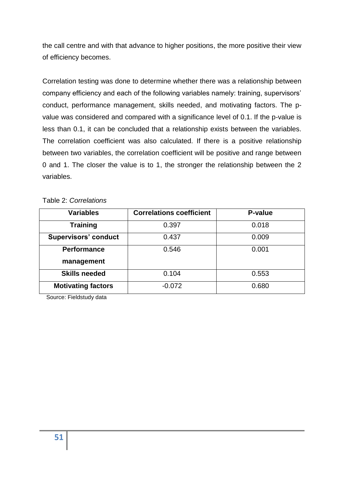the call centre and with that advance to higher positions, the more positive their view of efficiency becomes.

Correlation testing was done to determine whether there was a relationship between company efficiency and each of the following variables namely: training, supervisors' conduct, performance management, skills needed, and motivating factors. The pvalue was considered and compared with a significance level of 0.1. If the p-value is less than 0.1, it can be concluded that a relationship exists between the variables. The correlation coefficient was also calculated. If there is a positive relationship between two variables, the correlation coefficient will be positive and range between 0 and 1. The closer the value is to 1, the stronger the relationship between the 2 variables.

| Table 2: Correlations |  |
|-----------------------|--|
|-----------------------|--|

| <b>Variables</b>            | <b>Correlations coefficient</b> | P-value |
|-----------------------------|---------------------------------|---------|
| <b>Training</b>             | 0.397                           | 0.018   |
| <b>Supervisors' conduct</b> | 0.437                           | 0.009   |
| <b>Performance</b>          | 0.546                           | 0.001   |
| management                  |                                 |         |
| <b>Skills needed</b>        | 0.104                           | 0.553   |
| <b>Motivating factors</b>   | $-0.072$                        | 0.680   |

Source: Fieldstudy data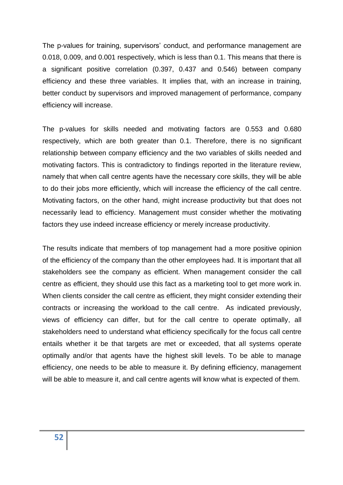The p-values for training, supervisors' conduct, and performance management are 0.018, 0.009, and 0.001 respectively, which is less than 0.1. This means that there is a significant positive correlation (0.397, 0.437 and 0.546) between company efficiency and these three variables. It implies that, with an increase in training, better conduct by supervisors and improved management of performance, company efficiency will increase.

The p-values for skills needed and motivating factors are 0.553 and 0.680 respectively, which are both greater than 0.1. Therefore, there is no significant relationship between company efficiency and the two variables of skills needed and motivating factors. This is contradictory to findings reported in the literature review, namely that when call centre agents have the necessary core skills, they will be able to do their jobs more efficiently, which will increase the efficiency of the call centre. Motivating factors, on the other hand, might increase productivity but that does not necessarily lead to efficiency. Management must consider whether the motivating factors they use indeed increase efficiency or merely increase productivity.

The results indicate that members of top management had a more positive opinion of the efficiency of the company than the other employees had. It is important that all stakeholders see the company as efficient. When management consider the call centre as efficient, they should use this fact as a marketing tool to get more work in. When clients consider the call centre as efficient, they might consider extending their contracts or increasing the workload to the call centre. As indicated previously, views of efficiency can differ, but for the call centre to operate optimally, all stakeholders need to understand what efficiency specifically for the focus call centre entails whether it be that targets are met or exceeded, that all systems operate optimally and/or that agents have the highest skill levels. To be able to manage efficiency, one needs to be able to measure it. By defining efficiency, management will be able to measure it, and call centre agents will know what is expected of them.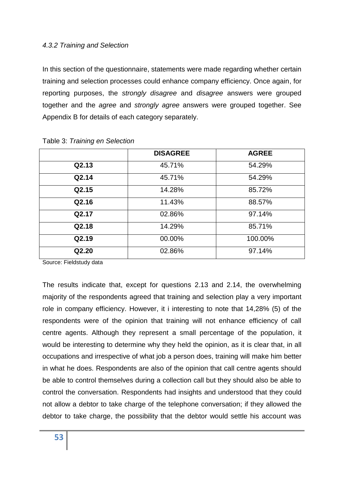### *4.3.2 Training and Selection*

In this section of the questionnaire, statements were made regarding whether certain training and selection processes could enhance company efficiency. Once again, for reporting purposes, the *strongly disagree* and *disagree* answers were grouped together and the *agree* and *strongly agree* answers were grouped together. See Appendix B for details of each category separately.

|       | <b>DISAGREE</b> | <b>AGREE</b> |
|-------|-----------------|--------------|
| Q2.13 | 45.71%          | 54.29%       |
| Q2.14 | 45.71%          | 54.29%       |
| Q2.15 | 14.28%          | 85.72%       |
| Q2.16 | 11.43%          | 88.57%       |
| Q2.17 | 02.86%          | 97.14%       |
| Q2.18 | 14.29%          | 85.71%       |
| Q2.19 | 00.00%          | 100.00%      |
| Q2.20 | 02.86%          | 97.14%       |

Table 3: *Training en Selection*

Source: Fieldstudy data

The results indicate that, except for questions 2.13 and 2.14, the overwhelming majority of the respondents agreed that training and selection play a very important role in company efficiency. However, it i interesting to note that 14,28% (5) of the respondents were of the opinion that training will not enhance efficiency of call centre agents. Although they represent a small percentage of the population, it would be interesting to determine why they held the opinion, as it is clear that, in all occupations and irrespective of what job a person does, training will make him better in what he does. Respondents are also of the opinion that call centre agents should be able to control themselves during a collection call but they should also be able to control the conversation. Respondents had insights and understood that they could not allow a debtor to take charge of the telephone conversation; if they allowed the debtor to take charge, the possibility that the debtor would settle his account was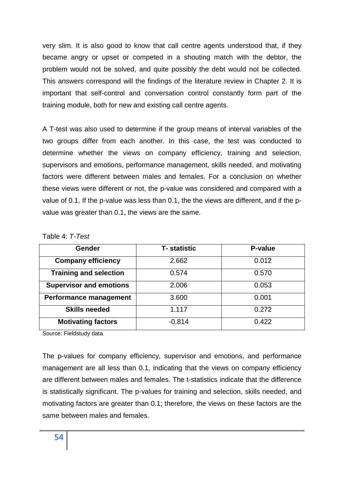very slim. It is also good to know that call centre agents understood that, if they became angry or upset or competed in a shouting match with the debtor, the problem would not be solved, and quite possibly the debt would not be collected. This answers correspond will the findings of the literature review in Chapter 2. It is important that self-control and conversation control constantly form part of the training module, both for new and existing call centre agents.

A T-test was also used to determine if the group means of interval variables of the two groups differ from each another. In this case, the test was conducted to determine whether the views on company efficiency, training and selection, supervisors and emotions, performance management, skills needed, and motivating factors were different between males and females. For a conclusion on whether these views were different or not, the p-value was considered and compared with a value of 0.1. If the p-value was less than 0.1, the the views are different, and if the pvalue was greater than 0.1, the views are the same.

| <b>Gender</b>                  | <b>T-</b> statistic | P-value |
|--------------------------------|---------------------|---------|
| <b>Company efficiency</b>      | 2.662               | 0.012   |
| <b>Training and selection</b>  | 0.574               | 0.570   |
| <b>Supervisor and emotions</b> | 2.006               | 0.053   |
| Performance management         | 3.600               | 0.001   |
| <b>Skills needed</b>           | 1.117               | 0.272   |
| <b>Motivating factors</b>      | $-0.814$            | 0.422   |

| Table 4: T-Test |
|-----------------|
|-----------------|

Source: Fieldstudy data

The p-values for company efficiency, supervisor and emotions, and performance management are all less than 0.1, indicating that the views on company efficiency are different between males and females. The t-statistics indicate that the difference is statistically significant. The p-values for training and selection, skills needed, and motivating factors are greater than 0.1; therefore, the views on these factors are the same between males and females.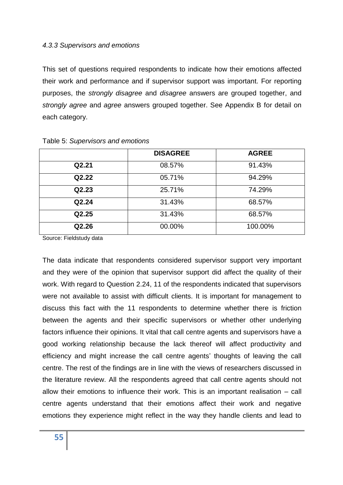#### *4.3.3 Supervisors and emotions*

This set of questions required respondents to indicate how their emotions affected their work and performance and if supervisor support was important. For reporting purposes, the *strongly disagree* and *disagree* answers are grouped together, and *strongly agree* and *agree* answers grouped together. See Appendix B for detail on each category.

|       | <b>DISAGREE</b> | <b>AGREE</b> |
|-------|-----------------|--------------|
| Q2.21 | 08.57%          | 91.43%       |
| Q2.22 | 05.71%          | 94.29%       |
| Q2.23 | 25.71%          | 74.29%       |
| Q2.24 | 31.43%          | 68.57%       |
| Q2.25 | 31.43%          | 68.57%       |
| Q2.26 | 00.00%          | 100.00%      |

#### Table 5: *Supervisors and emotions*

Source: Fieldstudy data

The data indicate that respondents considered supervisor support very important and they were of the opinion that supervisor support did affect the quality of their work. With regard to Question 2.24, 11 of the respondents indicated that supervisors were not available to assist with difficult clients. It is important for management to discuss this fact with the 11 respondents to determine whether there is friction between the agents and their specific supervisors or whether other underlying factors influence their opinions. It vital that call centre agents and supervisors have a good working relationship because the lack thereof will affect productivity and efficiency and might increase the call centre agents' thoughts of leaving the call centre. The rest of the findings are in line with the views of researchers discussed in the literature review. All the respondents agreed that call centre agents should not allow their emotions to influence their work. This is an important realisation – call centre agents understand that their emotions affect their work and negative emotions they experience might reflect in the way they handle clients and lead to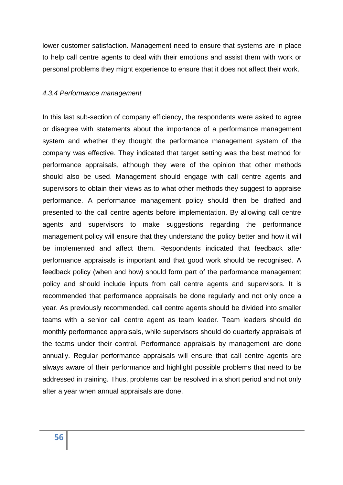lower customer satisfaction. Management need to ensure that systems are in place to help call centre agents to deal with their emotions and assist them with work or personal problems they might experience to ensure that it does not affect their work.

#### *4.3.4 Performance management*

In this last sub-section of company efficiency, the respondents were asked to agree or disagree with statements about the importance of a performance management system and whether they thought the performance management system of the company was effective. They indicated that target setting was the best method for performance appraisals, although they were of the opinion that other methods should also be used. Management should engage with call centre agents and supervisors to obtain their views as to what other methods they suggest to appraise performance. A performance management policy should then be drafted and presented to the call centre agents before implementation. By allowing call centre agents and supervisors to make suggestions regarding the performance management policy will ensure that they understand the policy better and how it will be implemented and affect them. Respondents indicated that feedback after performance appraisals is important and that good work should be recognised. A feedback policy (when and how) should form part of the performance management policy and should include inputs from call centre agents and supervisors. It is recommended that performance appraisals be done regularly and not only once a year. As previously recommended, call centre agents should be divided into smaller teams with a senior call centre agent as team leader. Team leaders should do monthly performance appraisals, while supervisors should do quarterly appraisals of the teams under their control. Performance appraisals by management are done annually. Regular performance appraisals will ensure that call centre agents are always aware of their performance and highlight possible problems that need to be addressed in training. Thus, problems can be resolved in a short period and not only after a year when annual appraisals are done.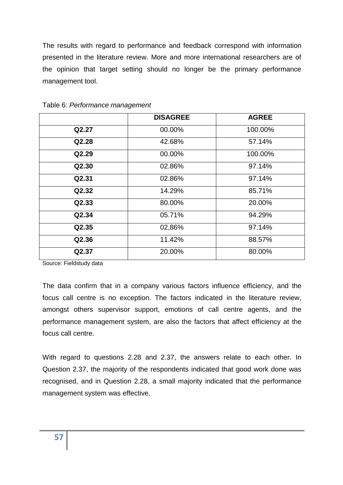The results with regard to performance and feedback correspond with information presented in the literature review. More and more international researchers are of the opinion that target setting should no longer be the primary performance management tool.

|       | <b>DISAGREE</b> | <b>AGREE</b> |
|-------|-----------------|--------------|
| Q2.27 | 00.00%          | 100.00%      |
| Q2.28 | 42.68%          | 57.14%       |
| Q2.29 | 00.00%          | 100.00%      |
| Q2.30 | 02.86%          | 97.14%       |
| Q2.31 | 02.86%          | 97.14%       |
| Q2.32 | 14.29%          | 85.71%       |
| Q2.33 | 80.00%          | 20.00%       |
| Q2.34 | 05.71%          | 94.29%       |
| Q2.35 | 02,86%          | 97.14%       |
| Q2.36 | 11.42%          | 88.57%       |
| Q2.37 | 20.00%          | 80.00%       |

Table 6: *Performance management*

Source: Fieldstudy data

The data confirm that in a company various factors influence efficiency, and the focus call centre is no exception. The factors indicated in the literature review, amongst others supervisor support, emotions of call centre agents, and the performance management system, are also the factors that affect efficiency at the focus call centre.

With regard to questions 2.28 and 2.37, the answers relate to each other. In Question 2.37, the majority of the respondents indicated that good work done was recognised, and in Question 2.28, a small majority indicated that the performance management system was effective.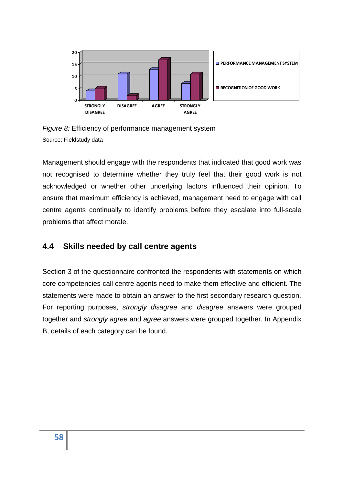

*Figure 8:* Efficiency of performance management system Source: Fieldstudy data

Management should engage with the respondents that indicated that good work was not recognised to determine whether they truly feel that their good work is not acknowledged or whether other underlying factors influenced their opinion. To ensure that maximum efficiency is achieved, management need to engage with call centre agents continually to identify problems before they escalate into full-scale problems that affect morale.

## **4.4 Skills needed by call centre agents**

Section 3 of the questionnaire confronted the respondents with statements on which core competencies call centre agents need to make them effective and efficient. The statements were made to obtain an answer to the first secondary research question. For reporting purposes, *strongly disagree* and *disagree* answers were grouped together and *strongly agree* and *agree* answers were grouped together. In Appendix B, details of each category can be found.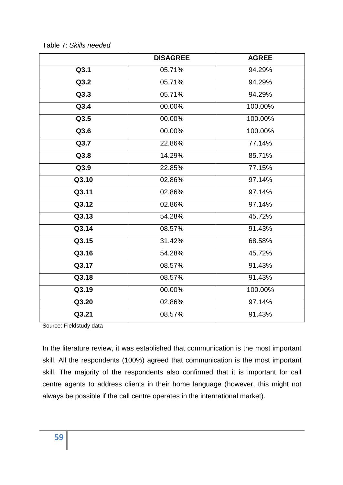|       | <b>DISAGREE</b> | <b>AGREE</b> |
|-------|-----------------|--------------|
| Q3.1  | 05.71%          | 94.29%       |
| Q3.2  | 05.71%          | 94.29%       |
| Q3.3  | 05.71%          | 94.29%       |
| Q3.4  | 00.00%          | 100.00%      |
| Q3.5  | 00.00%          | 100.00%      |
| Q3.6  | 00.00%          | 100.00%      |
| Q3.7  | 22.86%          | 77.14%       |
| Q3.8  | 14.29%          | 85.71%       |
| Q3.9  | 22.85%          | 77.15%       |
| Q3.10 | 02.86%          | 97.14%       |
| Q3.11 | 02.86%          | 97.14%       |
| Q3.12 | 02.86%          | 97.14%       |
| Q3.13 | 54.28%          | 45.72%       |
| Q3.14 | 08.57%          | 91.43%       |
| Q3.15 | 31.42%          | 68.58%       |
| Q3.16 | 54.28%          | 45.72%       |
| Q3.17 | 08.57%          | 91.43%       |
| Q3.18 | 08.57%          | 91.43%       |
| Q3.19 | 00.00%          | 100.00%      |
| Q3.20 | 02.86%          | 97.14%       |
| Q3.21 | 08.57%          | 91.43%       |

Table 7: *Skills needed*

Source: Fieldstudy data

In the literature review, it was established that communication is the most important skill. All the respondents (100%) agreed that communication is the most important skill. The majority of the respondents also confirmed that it is important for call centre agents to address clients in their home language (however, this might not always be possible if the call centre operates in the international market).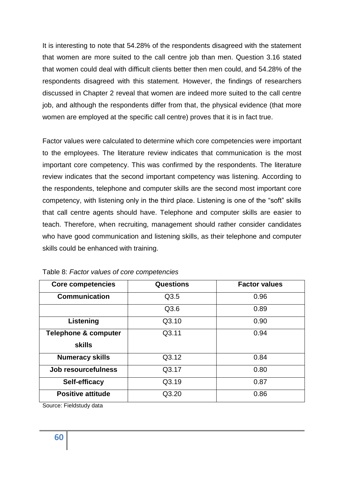It is interesting to note that 54.28% of the respondents disagreed with the statement that women are more suited to the call centre job than men. Question 3.16 stated that women could deal with difficult clients better then men could, and 54.28% of the respondents disagreed with this statement. However, the findings of researchers discussed in Chapter 2 reveal that women are indeed more suited to the call centre job, and although the respondents differ from that, the physical evidence (that more women are employed at the specific call centre) proves that it is in fact true.

Factor values were calculated to determine which core competencies were important to the employees. The literature review indicates that communication is the most important core competency. This was confirmed by the respondents. The literature review indicates that the second important competency was listening. According to the respondents, telephone and computer skills are the second most important core competency, with listening only in the third place. Listening is one of the "soft" skills that call centre agents should have. Telephone and computer skills are easier to teach. Therefore, when recruiting, management should rather consider candidates who have good communication and listening skills, as their telephone and computer skills could be enhanced with training.

| <b>Core competencies</b>        | <b>Questions</b> | <b>Factor values</b> |
|---------------------------------|------------------|----------------------|
| <b>Communication</b>            | Q3.5             | 0.96                 |
|                                 | Q3.6             | 0.89                 |
| Listening                       | Q3.10            | 0.90                 |
| <b>Telephone &amp; computer</b> | Q3.11            | 0.94                 |
| <b>skills</b>                   |                  |                      |
| <b>Numeracy skills</b>          | Q3.12            | 0.84                 |
| Job resourcefulness             | Q3.17            | 0.80                 |
| Self-efficacy                   | Q3.19            | 0.87                 |
| <b>Positive attitude</b>        | Q3.20            | 0.86                 |

Table 8: *Factor values of core competencies*

Source: Fieldstudy data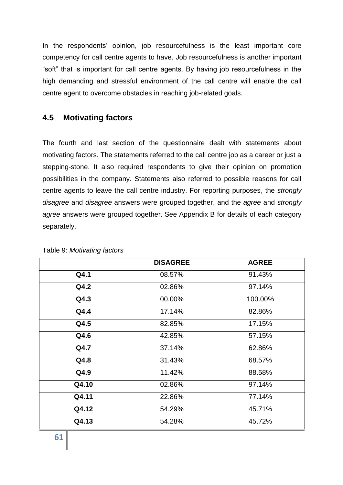In the respondents' opinion, job resourcefulness is the least important core competency for call centre agents to have. Job resourcefulness is another important "soft" that is important for call centre agents. By having job resourcefulness in the high demanding and stressful environment of the call centre will enable the call centre agent to overcome obstacles in reaching job-related goals.

## **4.5 Motivating factors**

The fourth and last section of the questionnaire dealt with statements about motivating factors. The statements referred to the call centre job as a career or just a stepping-stone. It also required respondents to give their opinion on promotion possibilities in the company. Statements also referred to possible reasons for call centre agents to leave the call centre industry. For reporting purposes, the *strongly disagree* and *disagree* answers were grouped together, and the *agree* and *strongly agree* answers were grouped together. See Appendix B for details of each category separately.

|       | <b>DISAGREE</b> | <b>AGREE</b> |
|-------|-----------------|--------------|
| Q4.1  | 08.57%          | 91.43%       |
| Q4.2  | 02.86%          | 97.14%       |
| Q4.3  | 00.00%          | 100.00%      |
| Q4.4  | 17.14%          | 82.86%       |
| Q4.5  | 82.85%          | 17.15%       |
| Q4.6  | 42.85%          | 57.15%       |
| Q4.7  | 37.14%          | 62.86%       |
| Q4.8  | 31.43%          | 68.57%       |
| Q4.9  | 11.42%          | 88.58%       |
| Q4.10 | 02.86%          | 97.14%       |
| Q4.11 | 22.86%          | 77.14%       |
| Q4.12 | 54.29%          | 45.71%       |
| Q4.13 | 54.28%          | 45.72%       |

Table 9: *Motivating factors*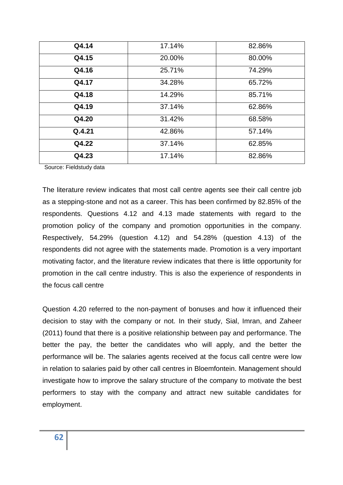| Q4.14  | 17.14% | 82.86% |
|--------|--------|--------|
| Q4.15  | 20.00% | 80.00% |
| Q4.16  | 25.71% | 74.29% |
| Q4.17  | 34.28% | 65.72% |
| Q4.18  | 14.29% | 85.71% |
| Q4.19  | 37.14% | 62.86% |
| Q4.20  | 31.42% | 68.58% |
| Q.4.21 | 42.86% | 57.14% |
| Q4.22  | 37.14% | 62.85% |
| Q4.23  | 17.14% | 82.86% |

Source: Fieldstudy data

The literature review indicates that most call centre agents see their call centre job as a stepping-stone and not as a career. This has been confirmed by 82.85% of the respondents. Questions 4.12 and 4.13 made statements with regard to the promotion policy of the company and promotion opportunities in the company. Respectively, 54.29% (question 4.12) and 54.28% (question 4.13) of the respondents did not agree with the statements made. Promotion is a very important motivating factor, and the literature review indicates that there is little opportunity for promotion in the call centre industry. This is also the experience of respondents in the focus call centre

Question 4.20 referred to the non-payment of bonuses and how it influenced their decision to stay with the company or not. In their study, Sial, Imran, and Zaheer (2011) found that there is a positive relationship between pay and performance. The better the pay, the better the candidates who will apply, and the better the performance will be. The salaries agents received at the focus call centre were low in relation to salaries paid by other call centres in Bloemfontein. Management should investigate how to improve the salary structure of the company to motivate the best performers to stay with the company and attract new suitable candidates for employment.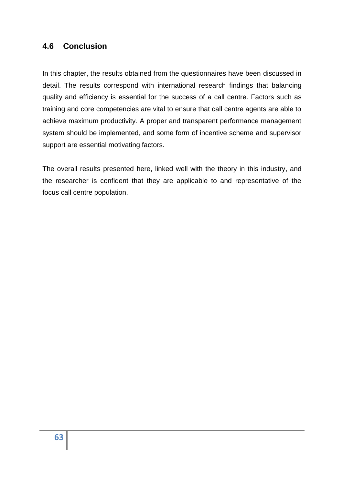## **4.6 Conclusion**

In this chapter, the results obtained from the questionnaires have been discussed in detail. The results correspond with international research findings that balancing quality and efficiency is essential for the success of a call centre. Factors such as training and core competencies are vital to ensure that call centre agents are able to achieve maximum productivity. A proper and transparent performance management system should be implemented, and some form of incentive scheme and supervisor support are essential motivating factors.

The overall results presented here, linked well with the theory in this industry, and the researcher is confident that they are applicable to and representative of the focus call centre population.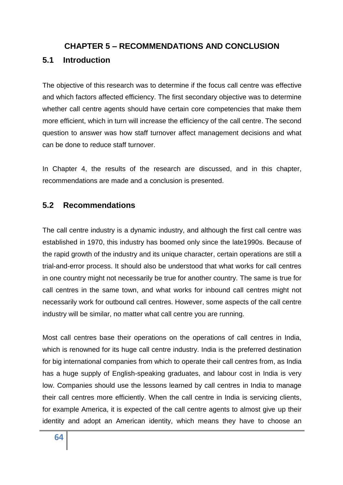### **CHAPTER 5 – RECOMMENDATIONS AND CONCLUSION**

## **5.1 Introduction**

The objective of this research was to determine if the focus call centre was effective and which factors affected efficiency. The first secondary objective was to determine whether call centre agents should have certain core competencies that make them more efficient, which in turn will increase the efficiency of the call centre. The second question to answer was how staff turnover affect management decisions and what can be done to reduce staff turnover.

In Chapter 4, the results of the research are discussed, and in this chapter, recommendations are made and a conclusion is presented.

### **5.2 Recommendations**

The call centre industry is a dynamic industry, and although the first call centre was established in 1970, this industry has boomed only since the late1990s. Because of the rapid growth of the industry and its unique character, certain operations are still a trial-and-error process. It should also be understood that what works for call centres in one country might not necessarily be true for another country. The same is true for call centres in the same town, and what works for inbound call centres might not necessarily work for outbound call centres. However, some aspects of the call centre industry will be similar, no matter what call centre you are running.

Most call centres base their operations on the operations of call centres in India, which is renowned for its huge call centre industry. India is the preferred destination for big international companies from which to operate their call centres from, as India has a huge supply of English-speaking graduates, and labour cost in India is very low. Companies should use the lessons learned by call centres in India to manage their call centres more efficiently. When the call centre in India is servicing clients, for example America, it is expected of the call centre agents to almost give up their identity and adopt an American identity, which means they have to choose an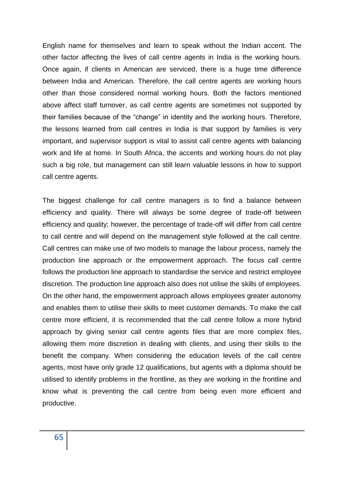English name for themselves and learn to speak without the Indian accent. The other factor affecting the lives of call centre agents in India is the working hours. Once again, if clients in American are serviced, there is a huge time difference between India and American. Therefore, the call centre agents are working hours other than those considered normal working hours. Both the factors mentioned above affect staff turnover, as call centre agents are sometimes not supported by their families because of the "change" in identity and the working hours. Therefore, the lessons learned from call centres in India is that support by families is very important, and supervisor support is vital to assist call centre agents with balancing work and life at home. In South Africa, the accents and working hours do not play such a big role, but management can still learn valuable lessons in how to support call centre agents.

The biggest challenge for call centre managers is to find a balance between efficiency and quality. There will always be some degree of trade-off between efficiency and quality; however, the percentage of trade-off will differ from call centre to call centre and will depend on the management style followed at the call centre. Call centres can make use of two models to manage the labour process, namely the production line approach or the empowerment approach. The focus call centre follows the production line approach to standardise the service and restrict employee discretion. The production line approach also does not utilise the skills of employees. On the other hand, the empowerment approach allows employees greater autonomy and enables them to utilise their skills to meet customer demands. To make the call centre more efficient, it is recommended that the call centre follow a more hybrid approach by giving senior call centre agents files that are more complex files, allowing them more discretion in dealing with clients, and using their skills to the benefit the company. When considering the education levels of the call centre agents, most have only grade 12 qualifications, but agents with a diploma should be utilised to identify problems in the frontline, as they are working in the frontline and know what is preventing the call centre from being even more efficient and productive.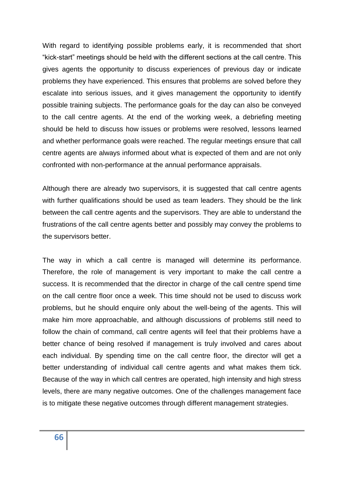With regard to identifying possible problems early, it is recommended that short "kick-start" meetings should be held with the different sections at the call centre. This gives agents the opportunity to discuss experiences of previous day or indicate problems they have experienced. This ensures that problems are solved before they escalate into serious issues, and it gives management the opportunity to identify possible training subjects. The performance goals for the day can also be conveyed to the call centre agents. At the end of the working week, a debriefing meeting should be held to discuss how issues or problems were resolved, lessons learned and whether performance goals were reached. The regular meetings ensure that call centre agents are always informed about what is expected of them and are not only confronted with non-performance at the annual performance appraisals.

Although there are already two supervisors, it is suggested that call centre agents with further qualifications should be used as team leaders. They should be the link between the call centre agents and the supervisors. They are able to understand the frustrations of the call centre agents better and possibly may convey the problems to the supervisors better.

The way in which a call centre is managed will determine its performance. Therefore, the role of management is very important to make the call centre a success. It is recommended that the director in charge of the call centre spend time on the call centre floor once a week. This time should not be used to discuss work problems, but he should enquire only about the well-being of the agents. This will make him more approachable, and although discussions of problems still need to follow the chain of command, call centre agents will feel that their problems have a better chance of being resolved if management is truly involved and cares about each individual. By spending time on the call centre floor, the director will get a better understanding of individual call centre agents and what makes them tick. Because of the way in which call centres are operated, high intensity and high stress levels, there are many negative outcomes. One of the challenges management face is to mitigate these negative outcomes through different management strategies.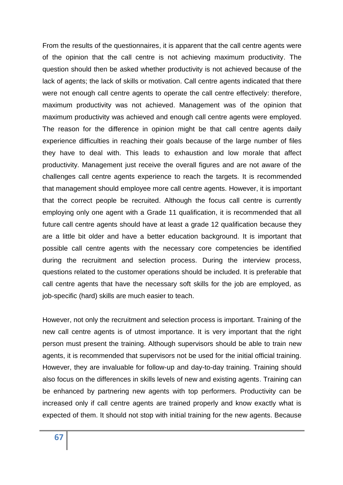From the results of the questionnaires, it is apparent that the call centre agents were of the opinion that the call centre is not achieving maximum productivity. The question should then be asked whether productivity is not achieved because of the lack of agents; the lack of skills or motivation. Call centre agents indicated that there were not enough call centre agents to operate the call centre effectively: therefore, maximum productivity was not achieved. Management was of the opinion that maximum productivity was achieved and enough call centre agents were employed. The reason for the difference in opinion might be that call centre agents daily experience difficulties in reaching their goals because of the large number of files they have to deal with. This leads to exhaustion and low morale that affect productivity. Management just receive the overall figures and are not aware of the challenges call centre agents experience to reach the targets. It is recommended that management should employee more call centre agents. However, it is important that the correct people be recruited. Although the focus call centre is currently employing only one agent with a Grade 11 qualification, it is recommended that all future call centre agents should have at least a grade 12 qualification because they are a little bit older and have a better education background. It is important that possible call centre agents with the necessary core competencies be identified during the recruitment and selection process. During the interview process, questions related to the customer operations should be included. It is preferable that call centre agents that have the necessary soft skills for the job are employed, as job-specific (hard) skills are much easier to teach.

However, not only the recruitment and selection process is important. Training of the new call centre agents is of utmost importance. It is very important that the right person must present the training. Although supervisors should be able to train new agents, it is recommended that supervisors not be used for the initial official training. However, they are invaluable for follow-up and day-to-day training. Training should also focus on the differences in skills levels of new and existing agents. Training can be enhanced by partnering new agents with top performers. Productivity can be increased only if call centre agents are trained properly and know exactly what is expected of them. It should not stop with initial training for the new agents. Because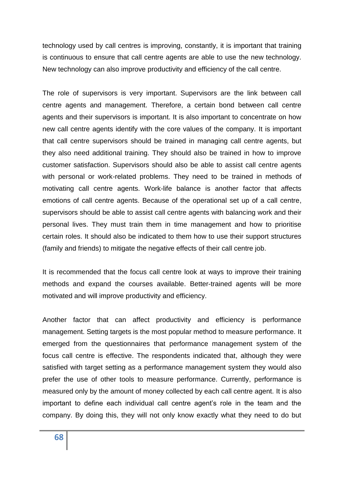technology used by call centres is improving, constantly, it is important that training is continuous to ensure that call centre agents are able to use the new technology. New technology can also improve productivity and efficiency of the call centre.

The role of supervisors is very important. Supervisors are the link between call centre agents and management. Therefore, a certain bond between call centre agents and their supervisors is important. It is also important to concentrate on how new call centre agents identify with the core values of the company. It is important that call centre supervisors should be trained in managing call centre agents, but they also need additional training. They should also be trained in how to improve customer satisfaction. Supervisors should also be able to assist call centre agents with personal or work-related problems. They need to be trained in methods of motivating call centre agents. Work-life balance is another factor that affects emotions of call centre agents. Because of the operational set up of a call centre, supervisors should be able to assist call centre agents with balancing work and their personal lives. They must train them in time management and how to prioritise certain roles. It should also be indicated to them how to use their support structures (family and friends) to mitigate the negative effects of their call centre job.

It is recommended that the focus call centre look at ways to improve their training methods and expand the courses available. Better-trained agents will be more motivated and will improve productivity and efficiency.

Another factor that can affect productivity and efficiency is performance management. Setting targets is the most popular method to measure performance. It emerged from the questionnaires that performance management system of the focus call centre is effective. The respondents indicated that, although they were satisfied with target setting as a performance management system they would also prefer the use of other tools to measure performance. Currently, performance is measured only by the amount of money collected by each call centre agent. It is also important to define each individual call centre agent's role in the team and the company. By doing this, they will not only know exactly what they need to do but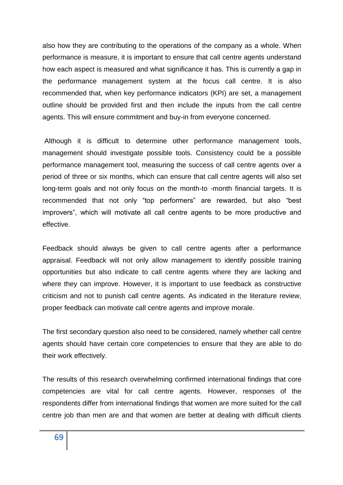also how they are contributing to the operations of the company as a whole. When performance is measure, it is important to ensure that call centre agents understand how each aspect is measured and what significance it has. This is currently a gap in the performance management system at the focus call centre. It is also recommended that, when key performance indicators (KPI) are set, a management outline should be provided first and then include the inputs from the call centre agents. This will ensure commitment and buy-in from everyone concerned.

Although it is difficult to determine other performance management tools, management should investigate possible tools. Consistency could be a possible performance management tool, measuring the success of call centre agents over a period of three or six months, which can ensure that call centre agents will also set long-term goals and not only focus on the month-to -month financial targets. It is recommended that not only "top performers" are rewarded, but also "best improvers", which will motivate all call centre agents to be more productive and effective.

Feedback should always be given to call centre agents after a performance appraisal. Feedback will not only allow management to identify possible training opportunities but also indicate to call centre agents where they are lacking and where they can improve. However, it is important to use feedback as constructive criticism and not to punish call centre agents. As indicated in the literature review, proper feedback can motivate call centre agents and improve morale.

The first secondary question also need to be considered, namely whether call centre agents should have certain core competencies to ensure that they are able to do their work effectively.

The results of this research overwhelming confirmed international findings that core competencies are vital for call centre agents. However, responses of the respondents differ from international findings that women are more suited for the call centre job than men are and that women are better at dealing with difficult clients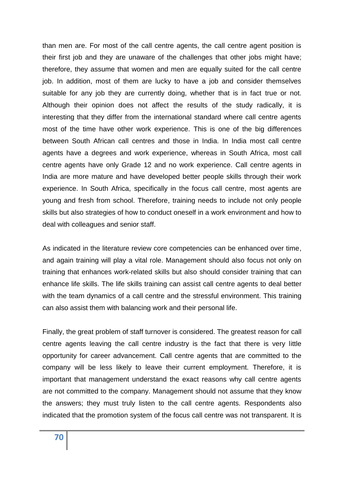than men are. For most of the call centre agents, the call centre agent position is their first job and they are unaware of the challenges that other jobs might have; therefore, they assume that women and men are equally suited for the call centre job. In addition, most of them are lucky to have a job and consider themselves suitable for any job they are currently doing, whether that is in fact true or not. Although their opinion does not affect the results of the study radically, it is interesting that they differ from the international standard where call centre agents most of the time have other work experience. This is one of the big differences between South African call centres and those in India. In India most call centre agents have a degrees and work experience, whereas in South Africa, most call centre agents have only Grade 12 and no work experience. Call centre agents in India are more mature and have developed better people skills through their work experience. In South Africa, specifically in the focus call centre, most agents are young and fresh from school. Therefore, training needs to include not only people skills but also strategies of how to conduct oneself in a work environment and how to deal with colleagues and senior staff.

As indicated in the literature review core competencies can be enhanced over time, and again training will play a vital role. Management should also focus not only on training that enhances work-related skills but also should consider training that can enhance life skills. The life skills training can assist call centre agents to deal better with the team dynamics of a call centre and the stressful environment. This training can also assist them with balancing work and their personal life.

Finally, the great problem of staff turnover is considered. The greatest reason for call centre agents leaving the call centre industry is the fact that there is very little opportunity for career advancement. Call centre agents that are committed to the company will be less likely to leave their current employment. Therefore, it is important that management understand the exact reasons why call centre agents are not committed to the company. Management should not assume that they know the answers; they must truly listen to the call centre agents. Respondents also indicated that the promotion system of the focus call centre was not transparent. It is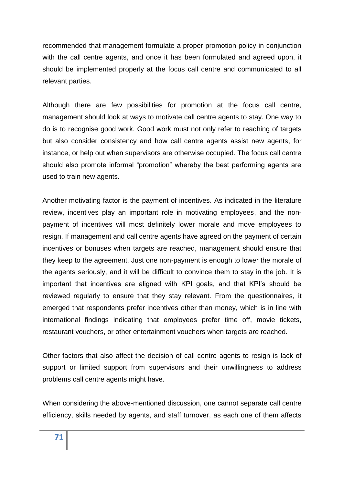recommended that management formulate a proper promotion policy in conjunction with the call centre agents, and once it has been formulated and agreed upon, it should be implemented properly at the focus call centre and communicated to all relevant parties.

Although there are few possibilities for promotion at the focus call centre, management should look at ways to motivate call centre agents to stay. One way to do is to recognise good work. Good work must not only refer to reaching of targets but also consider consistency and how call centre agents assist new agents, for instance, or help out when supervisors are otherwise occupied. The focus call centre should also promote informal "promotion" whereby the best performing agents are used to train new agents.

Another motivating factor is the payment of incentives. As indicated in the literature review, incentives play an important role in motivating employees, and the nonpayment of incentives will most definitely lower morale and move employees to resign. If management and call centre agents have agreed on the payment of certain incentives or bonuses when targets are reached, management should ensure that they keep to the agreement. Just one non-payment is enough to lower the morale of the agents seriously, and it will be difficult to convince them to stay in the job. It is important that incentives are aligned with KPI goals, and that KPI's should be reviewed regularly to ensure that they stay relevant. From the questionnaires, it emerged that respondents prefer incentives other than money, which is in line with international findings indicating that employees prefer time off, movie tickets, restaurant vouchers, or other entertainment vouchers when targets are reached.

Other factors that also affect the decision of call centre agents to resign is lack of support or limited support from supervisors and their unwillingness to address problems call centre agents might have.

When considering the above-mentioned discussion, one cannot separate call centre efficiency, skills needed by agents, and staff turnover, as each one of them affects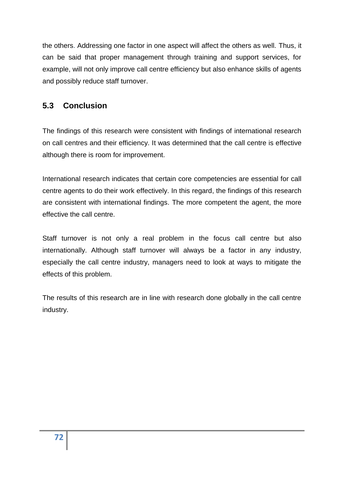the others. Addressing one factor in one aspect will affect the others as well. Thus, it can be said that proper management through training and support services, for example, will not only improve call centre efficiency but also enhance skills of agents and possibly reduce staff turnover.

# **5.3 Conclusion**

The findings of this research were consistent with findings of international research on call centres and their efficiency. It was determined that the call centre is effective although there is room for improvement.

International research indicates that certain core competencies are essential for call centre agents to do their work effectively. In this regard, the findings of this research are consistent with international findings. The more competent the agent, the more effective the call centre.

Staff turnover is not only a real problem in the focus call centre but also internationally. Although staff turnover will always be a factor in any industry, especially the call centre industry, managers need to look at ways to mitigate the effects of this problem.

The results of this research are in line with research done globally in the call centre industry.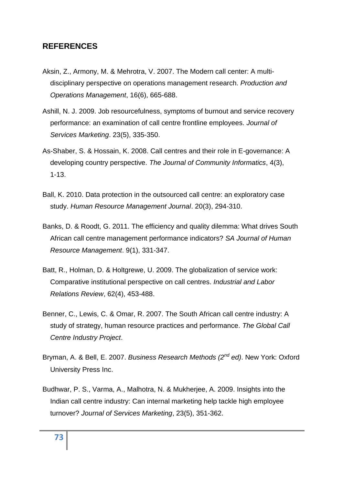#### **REFERENCES**

- Aksin, Z., Armony, M. & Mehrotra, V. 2007. The Modern call center: A multi disciplinary perspective on operations management research. *Production and Operations Management*, 16(6), 665-688.
- Ashill, N. J. 2009. Job resourcefulness, symptoms of burnout and service recovery performance: an examination of call centre frontline employees. *Journal of Services Marketing*. 23(5), 335-350.
- As-Shaber, S. & Hossain, K. 2008. Call centres and their role in E-governance: A developing country perspective. *The Journal of Community Informatics*, 4(3), 1-13.
- Ball, K. 2010. Data protection in the outsourced call centre: an exploratory case study. *Human Resource Management Journal*. 20(3), 294-310.
- Banks, D. & Roodt, G. 2011. The efficiency and quality dilemma: What drives South African call centre management performance indicators? *SA Journal of Human Resource Management*. 9(1), 331-347.
- Batt, R., Holman, D. & Holtgrewe, U. 2009. The globalization of service work: Comparative institutional perspective on call centres. *Industrial and Labor Relations Review*, 62(4), 453-488.
- Benner, C., Lewis, C. & Omar, R. 2007. The South African call centre industry: A study of strategy, human resource practices and performance. *The Global Call Centre Industry Project*.
- Bryman, A. & Bell, E. 2007. *Business Research Methods (2nd ed)*. New York: Oxford University Press Inc.
- Budhwar, P. S., Varma, A., Malhotra, N. & Mukherjee, A. 2009. Insights into the Indian call centre industry: Can internal marketing help tackle high employee turnover? *Journal of Services Marketing*, 23(5), 351-362.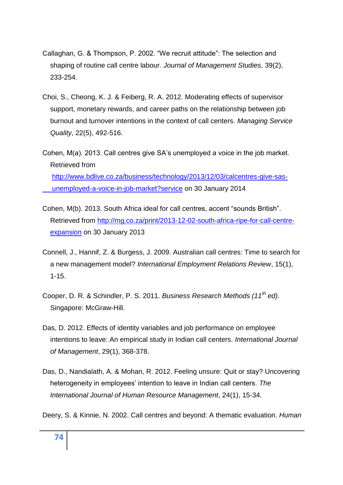- Callaghan, G. & Thompson, P. 2002. "We recruit attitude": The selection and shaping of routine call centre labour. *Journal of Management Studies*, 39(2), 233-254.
- Choi, S., Cheong, K. J. & Feiberg, R. A. 2012. Moderating effects of supervisor support, monetary rewards, and career paths on the relationship between job burnout and turnover intentions in the context of call centers. *Managing Service Quality*, 22(5), 492-516.
- Cohen, M(a). 2013. Call centres give SA's unemployed a voice in the job market. Retrieved from [http://www.bdlive.co.za/business/technology/2013/12/03/calcentres-give-sas](http://www.bdlive.co.za/business/technology/2013/12/03/calcentres-give-sas-%20%20%20%20%20%20%20%20%20%20%20%20%20%20%20%20%20%20%20unemployed-a-voice-in-job-market?service)   [unemployed-a-voice-in-job-market?service](http://www.bdlive.co.za/business/technology/2013/12/03/calcentres-give-sas-%20%20%20%20%20%20%20%20%20%20%20%20%20%20%20%20%20%20%20unemployed-a-voice-in-job-market?service) on 30 January 2014
- Cohen, M(b). 2013. South Africa ideal for call centres, accent "sounds British". Retrieved from [http://mg.co.za/print/2013-12-02-south-africa-ripe-for-call-centre](http://mg.co.za/print/2013-12-02-south-africa-ripe-for-call-centre-%20%20%20%20%20%20expansion)   [expansion](http://mg.co.za/print/2013-12-02-south-africa-ripe-for-call-centre-%20%20%20%20%20%20expansion) on 30 January 2013
- Connell, J., Hannif, Z. & Burgess, J. 2009. Australian call centres: Time to search for a new management model? *International Employment Relations Review*, 15(1), 1-15.
- Cooper, D. R. & Schindler, P. S. 2011. *Business Research Methods (11th ed)*. Singapore: McGraw-Hill.
- Das, D. 2012. Effects of identity variables and job performance on employee intentions to leave: An empirical study in Indian call centers. *International Journal of Management*, 29(1), 368-378.
- Das, D., Nandialath, A. & Mohan, R. 2012. Feeling unsure: Quit or stay? Uncovering heterogeneity in employees' intention to leave in Indian call centers. *The International Journal of Human Resource Management*, 24(1), 15-34.
- Deery, S. & Kinnie, N. 2002. Call centres and beyond: A thematic evaluation. *Human*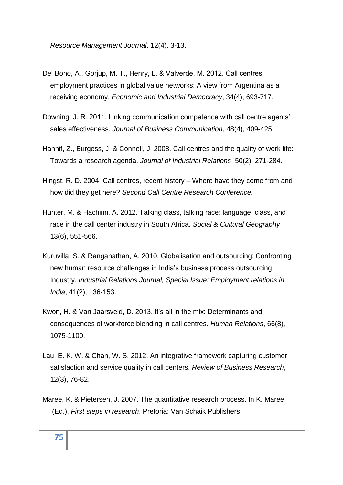*Resource Management Journal*, 12(4), 3-13.

- Del Bono, A., Gorjup, M. T., Henry, L. & Valverde, M. 2012. Call centres' employment practices in global value networks: A view from Argentina as a receiving economy. *Economic and Industrial Democracy*, 34(4), 693-717.
- Downing, J. R. 2011. Linking communication competence with call centre agents' sales effectiveness. *Journal of Business Communication*, 48(4), 409-425.
- Hannif, Z., Burgess, J. & Connell, J. 2008. Call centres and the quality of work life: Towards a research agenda. *Journal of Industrial Relations*, 50(2), 271-284.
- Hingst, R. D. 2004. Call centres, recent history Where have they come from and how did they get here? *Second Call Centre Research Conference.*
- Hunter, M. & Hachimi, A. 2012. Talking class, talking race: language, class, and race in the call center industry in South Africa. *Social & Cultural Geography*, 13(6), 551-566.
- Kuruvilla, S. & Ranganathan, A. 2010. Globalisation and outsourcing: Confronting new human resource challenges in India's business process outsourcing Industry. *Industrial Relations Journal, Special Issue: Employment relations in India*, 41(2), 136-153.
- Kwon, H. & Van Jaarsveld, D. 2013. It's all in the mix: Determinants and consequences of workforce blending in call centres. *Human Relations*, 66(8), 1075-1100.
- Lau, E. K. W. & Chan, W. S. 2012. An integrative framework capturing customer satisfaction and service quality in call centers. *Review of Business Research*, 12(3), 76-82.
- Maree, K. & Pietersen, J. 2007. The quantitative research process. In K. Maree (Ed.). *First steps in research*. Pretoria: Van Schaik Publishers.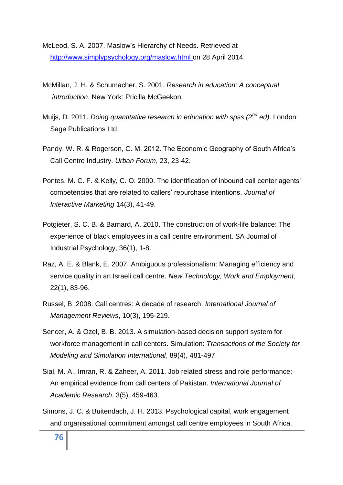McLeod, S. A. 2007. Maslow's Hierarchy of Needs. Retrieved at [http://www.simplypsychology.org/maslow.html on 28 April 2014.](http://www.simplypsychology.org/maslow.html%20on%20..28%20April%202014)

- McMillan, J. H. & Schumacher, S. 2001. *Research in education: A conceptual introduction*. New York: Pricilla McGeekon.
- Muijs, D. 2011. *Doing quantitative research in education with spss (2nd ed)*. London: Sage Publications Ltd.
- Pandy, W. R. & Rogerson, C. M. 2012. The Economic Geography of South Africa's Call Centre Industry. *Urban Forum*, 23, 23-42.
- Pontes, M. C. F. & Kelly, C. O. 2000. The identification of inbound call center agents' competencies that are related to callers' repurchase intentions. *Journal of Interactive Marketing* 14(3), 41-49.
- Potgieter, S. C. B. & Barnard, A. 2010. The construction of work-life balance: The experience of black employees in a call centre environment. SA Journal of Industrial Psychology, 36(1), 1-8.
- Raz, A. E. & Blank, E. 2007. Ambiguous professionalism: Managing efficiency and service quality in an Israeli call centre. *New Technology, Work and Employment*, 22(1), 83-96.
- Russel, B. 2008. Call centres: A decade of research. *International Journal of Management Reviews*, 10(3), 195-219.
- Sencer, A. & Ozel, B. B. 2013. A simulation-based decision support system for workforce management in call centers. Simulation: *Transactions of the Society for Modeling and Simulation International*, 89(4), 481-497.
- Sial, M. A., Imran, R. & Zaheer, A. 2011. Job related stress and role performance: An empirical evidence from call centers of Pakistan. *International Journal of Academic Research*, 3(5), 459-463.
- Simons, J. C. & Buitendach, J. H. 2013. Psychological capital, work engagement and organisational commitment amongst call centre employees in South Africa.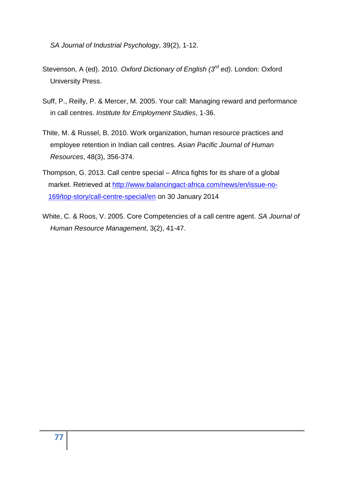*SA Journal of Industrial Psychology*, 39(2), 1-12.

- Stevenson, A (ed). 2010. *Oxford Dictionary of English (3rd ed)*. London: Oxford University Press.
- Suff, P., Reilly, P. & Mercer, M. 2005. Your call: Managing reward and performance in call centres. *Institute for Employment Studies*, 1-36.
- Thite, M. & Russel, B. 2010. Work organization, human resource practices and employee retention in Indian call centres. *Asian Pacific Journal of Human Resources*, 48(3), 356-374.
- Thompson, G. 2013. Call centre special Africa fights for its share of a global market. Retrieved at [http://www.balancingact-africa.com/news/en/issue-no-](http://www.balancingact-africa.com/news/en/issue-no-%20%20%20%20%20169/top-story/call-centre-special/en)   [169/top-story/call-centre-special/en](http://www.balancingact-africa.com/news/en/issue-no-%20%20%20%20%20169/top-story/call-centre-special/en) on 30 January 2014
- White, C. & Roos, V. 2005. Core Competencies of a call centre agent. *SA Journal of Human Resource Management*, 3(2), 41-47.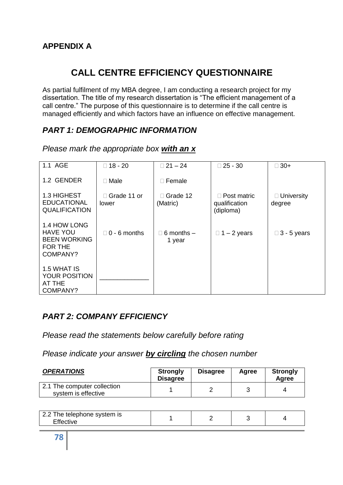# **CALL CENTRE EFFICIENCY QUESTIONNAIRE**

As partial fulfilment of my MBA degree, I am conducting a research project for my dissertation. The title of my research dissertation is "The efficient management of a call centre." The purpose of this questionnaire is to determine if the call centre is managed efficiently and which factors have an influence on effective management.

# *PART 1: DEMOGRAPHIC INFORMATION*

| 1.1 AGE                                                                       | $\Box$ 18 - 20         | $\Box$ 21 - 24                | $\Box$ 25 - 30                                   | $\Box$ 30+                  |
|-------------------------------------------------------------------------------|------------------------|-------------------------------|--------------------------------------------------|-----------------------------|
| 1.2 GENDER                                                                    | $\Box$ Male            | Female                        |                                                  |                             |
| 1.3 HIGHEST<br><b>EDUCATIONAL</b><br><b>QUALIFICATION</b>                     | □ Grade 11 or<br>lower | Grade 12<br>(Matric)          | $\Box$ Post matric<br>qualification<br>(diploma) | $\Box$ University<br>degree |
| 1.4 HOW LONG<br><b>HAVE YOU</b><br><b>BEEN WORKING</b><br>FOR THE<br>COMPANY? | $\Box$ 0 - 6 months    | $\Box$ 6 months $-$<br>1 year | $\Box$ 1 – 2 years                               | $\Box$ 3 - 5 years          |
| 1.5 WHAT IS<br><b>YOUR POSITION</b><br>AT THE<br>COMPANY?                     |                        |                               |                                                  |                             |

*Please mark the appropriate box with an x*

# *PART 2: COMPANY EFFICIENCY*

*Please read the statements below carefully before rating*

*Please indicate your answer by circling the chosen number*

| <b>OPERATIONS</b>                                  | <b>Strongly</b><br><b>Disagree</b> | <b>Disagree</b> | Agree | <b>Strongly</b><br>Agree |
|----------------------------------------------------|------------------------------------|-----------------|-------|--------------------------|
| 2.1 The computer collection<br>system is effective |                                    |                 |       |                          |

| . പ<br>2.2 The telephone system is<br>$-110o$ |  |  |  |
|-----------------------------------------------|--|--|--|
|-----------------------------------------------|--|--|--|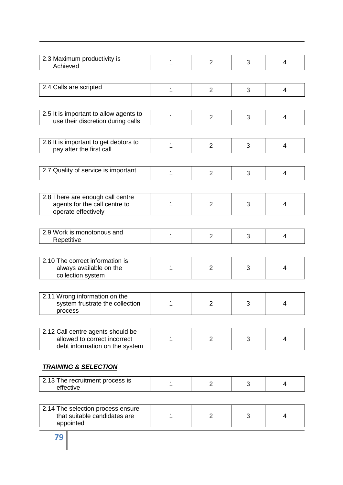| 2.3 Maximum productivity is<br>Achieved                                                             | 1 | $\overline{2}$ | 3 | 4              |
|-----------------------------------------------------------------------------------------------------|---|----------------|---|----------------|
|                                                                                                     |   |                |   |                |
| 2.4 Calls are scripted                                                                              | 1 | $\overline{2}$ | 3 | 4              |
|                                                                                                     |   |                |   |                |
| 2.5 It is important to allow agents to<br>use their discretion during calls                         | 1 | $\overline{2}$ | 3 | $\overline{4}$ |
|                                                                                                     |   |                |   |                |
| 2.6 It is important to get debtors to<br>pay after the first call                                   | 1 | $\overline{2}$ | 3 | $\overline{4}$ |
|                                                                                                     |   |                |   |                |
| 2.7 Quality of service is important                                                                 | 1 | $\overline{2}$ | 3 | $\overline{4}$ |
|                                                                                                     |   |                |   |                |
| 2.8 There are enough call centre<br>agents for the call centre to<br>operate effectively            | 1 | $\overline{2}$ | 3 | 4              |
|                                                                                                     |   |                |   |                |
| 2.9 Work is monotonous and<br>Repetitive                                                            | 1 | $\overline{2}$ | 3 | $\overline{4}$ |
|                                                                                                     |   |                |   |                |
| 2.10 The correct information is<br>always available on the<br>collection system                     | 1 | $\overline{2}$ | 3 | $\overline{4}$ |
|                                                                                                     |   |                |   |                |
| 2.11 Wrong information on the<br>system frustrate the collection<br>process                         | 1 | 2              | 3 | 4              |
|                                                                                                     |   |                |   |                |
| 2.12 Call centre agents should be<br>allowed to correct incorrect<br>debt information on the system | 1 | $\overline{2}$ | 3 | 4              |
|                                                                                                     |   |                |   |                |
| <b>TRAINING &amp; SELECTION</b>                                                                     |   |                |   |                |
| 2.13 The recruitment process is<br>effective                                                        | 1 | $\overline{2}$ | 3 | 4              |
|                                                                                                     |   |                |   |                |
| 2.14 The selection process ensure<br>that suitable candidates are<br>appointed                      | 1 | $\overline{2}$ | 3 | 4              |
|                                                                                                     |   |                |   |                |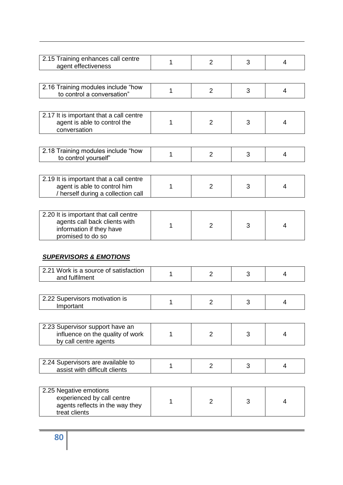| 2.15 Training enhances call centre<br>agent effectiveness                                                               | 1 | $\overline{2}$ | 3 | 4              |
|-------------------------------------------------------------------------------------------------------------------------|---|----------------|---|----------------|
|                                                                                                                         |   |                |   |                |
| 2.16 Training modules include "how<br>to control a conversation"                                                        | 1 | $\overline{2}$ | 3 | 4              |
|                                                                                                                         |   |                |   |                |
| 2.17 It is important that a call centre<br>agent is able to control the<br>conversation                                 | 1 | $\overline{2}$ | 3 | 4              |
|                                                                                                                         |   |                |   |                |
| 2.18 Training modules include "how<br>to control yourself"                                                              | 1 | $\overline{2}$ | 3 | 4              |
|                                                                                                                         |   |                |   |                |
| 2.19 It is important that a call centre<br>agent is able to control him<br>/ herself during a collection call           | 1 | $\overline{2}$ | 3 | 4              |
|                                                                                                                         |   |                |   |                |
| 2.20 It is important that call centre<br>agents call back clients with<br>information if they have<br>promised to do so | 1 | $\overline{2}$ | 3 | 4              |
| <b>SUPERVISORS &amp; EMOTIONS</b>                                                                                       |   |                |   |                |
| 2.21 Work is a source of satisfaction<br>and fulfilment                                                                 | 1 | $\overline{2}$ | 3 | $\overline{4}$ |
| 2.22 Supervisors motivation is                                                                                          |   |                |   |                |
| Important                                                                                                               | 1 | $\overline{2}$ | 3 | 4              |
| 2.23 Supervisor support have an                                                                                         |   |                |   |                |
| influence on the quality of work<br>by call centre agents                                                               | 1 | $\overline{2}$ | 3 | 4              |
|                                                                                                                         |   |                |   |                |
|                                                                                                                         |   |                |   |                |
| 2.24 Supervisors are available to<br>assist with difficult clients                                                      | 1 | 2              | 3 | 4              |
|                                                                                                                         |   |                |   |                |
| 2.25 Negative emotions<br>experienced by call centre<br>agents reflects in the way they                                 | 1 | $\overline{2}$ | 3 | 4              |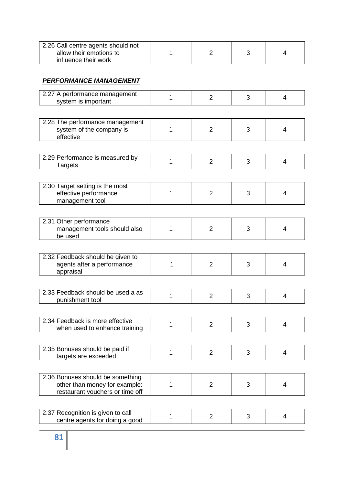| 2.26 Call centre agents should not |  |  |
|------------------------------------|--|--|
| allow their emotions to            |  |  |
| influence their work               |  |  |

#### *PERFORMANCE MANAGEMENT*

| 2.27 A performance management<br>system is important                                                 | 1 | $\overline{2}$ | 3 | 4 |
|------------------------------------------------------------------------------------------------------|---|----------------|---|---|
|                                                                                                      |   |                |   |   |
| 2.28 The performance management<br>system of the company is<br>effective                             | 1 | 2              | 3 | 4 |
|                                                                                                      |   |                |   |   |
| 2.29 Performance is measured by<br><b>Targets</b>                                                    | 1 | $\overline{2}$ | 3 | 4 |
|                                                                                                      |   |                |   |   |
| 2.30 Target setting is the most<br>effective performance<br>management tool                          | 1 | $\overline{2}$ | 3 | 4 |
|                                                                                                      |   |                |   |   |
| 2.31 Other performance<br>management tools should also<br>be used                                    | 1 | $\overline{2}$ | 3 | 4 |
|                                                                                                      |   |                |   |   |
| 2.32 Feedback should be given to<br>agents after a performance<br>appraisal                          | 1 | $\overline{2}$ | 3 | 4 |
|                                                                                                      |   |                |   |   |
| 2.33 Feedback should be used a as<br>punishment tool                                                 | 1 | $\overline{2}$ | 3 | 4 |
|                                                                                                      |   |                |   |   |
| 2.34 Feedback is more effective<br>when used to enhance training                                     | 1 | $\overline{2}$ | 3 | 4 |
|                                                                                                      |   |                |   |   |
| 2.35 Bonuses should be paid if<br>targets are exceeded                                               | 1 | $\overline{2}$ | 3 | 4 |
|                                                                                                      |   |                |   |   |
| 2.36 Bonuses should be something<br>other than money for example:<br>restaurant vouchers or time off | 1 | $\overline{2}$ | 3 | 4 |
|                                                                                                      |   |                |   |   |
| 2.37 Recognition is given to call<br>centre agents for doing a good                                  | 1 | $\overline{2}$ | 3 | 4 |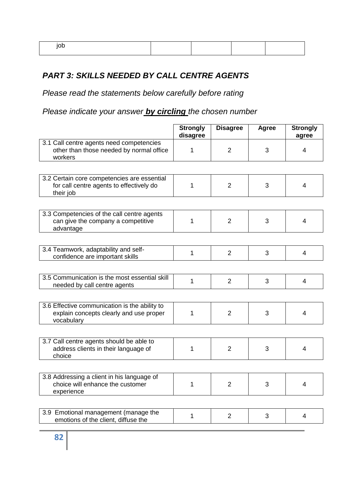# *PART 3: SKILLS NEEDED BY CALL CENTRE AGENTS*

*Please read the statements below carefully before rating*

*Please indicate your answer by circling the chosen number*

|                                                                                                        | <b>Strongly</b><br>disagree | <b>Disagree</b> | Agree | <b>Strongly</b><br>agree |
|--------------------------------------------------------------------------------------------------------|-----------------------------|-----------------|-------|--------------------------|
| 3.1 Call centre agents need competencies<br>other than those needed by normal office<br>workers        | 1                           | $\overline{2}$  | 3     | 4                        |
|                                                                                                        |                             |                 |       |                          |
| 3.2 Certain core competencies are essential<br>for call centre agents to effectively do<br>their job   | 1                           | $\overline{2}$  | 3     | 4                        |
|                                                                                                        |                             |                 |       |                          |
| 3.3 Competencies of the call centre agents<br>can give the company a competitive<br>advantage          | 1                           | $\overline{2}$  | 3     | 4                        |
|                                                                                                        |                             |                 |       |                          |
| 3.4 Teamwork, adaptability and self-<br>confidence are important skills                                | 1                           | $\overline{2}$  | 3     | 4                        |
|                                                                                                        |                             |                 |       |                          |
| 3.5 Communication is the most essential skill<br>needed by call centre agents                          | 1                           | $\overline{2}$  | 3     | 4                        |
|                                                                                                        |                             |                 |       |                          |
| 3.6 Effective communication is the ability to<br>explain concepts clearly and use proper<br>vocabulary | 1                           | $\overline{2}$  | 3     | 4                        |
|                                                                                                        |                             |                 |       |                          |
| 3.7 Call centre agents should be able to<br>address clients in their language of<br>choice             | 1                           | $\overline{2}$  | 3     | 4                        |
|                                                                                                        |                             |                 |       |                          |
| 3.8 Addressing a client in his language of<br>choice will enhance the customer<br>experience           | 1                           | $\overline{2}$  | 3     | 4                        |
|                                                                                                        |                             |                 |       |                          |
| 3.9 Emotional management (manage the<br>emotions of the client, diffuse the                            | 1                           | $\overline{2}$  | 3     | 4                        |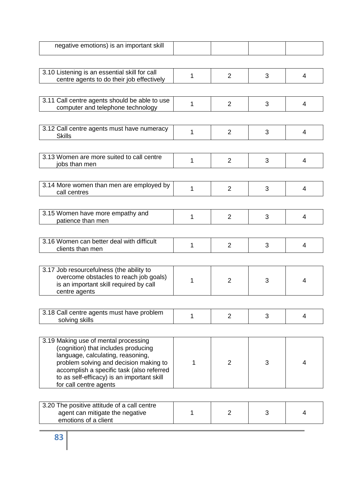| 1 | $\overline{2}$ | 3              | 4              |
|---|----------------|----------------|----------------|
|   |                |                |                |
|   |                |                | 4              |
|   |                |                |                |
| 1 | $\overline{2}$ | 3              | 4              |
|   |                |                |                |
| 1 | $\overline{2}$ | 3              | $\overline{4}$ |
|   |                |                |                |
| 1 | $\overline{2}$ | 3              | 4              |
|   |                |                |                |
| 1 | $\overline{2}$ | 3              | 4              |
|   |                |                |                |
| 1 | $\overline{2}$ | 3              | 4              |
|   |                |                |                |
| 1 | $\overline{2}$ | 3              | 4              |
|   |                |                |                |
| 1 | $\overline{2}$ | 3              | 4              |
|   |                |                |                |
| 1 | $\overline{2}$ | 3              | 4              |
|   |                |                |                |
| 1 | $\overline{2}$ | 3              | 4              |
|   | 1              | $\overline{2}$ | 3              |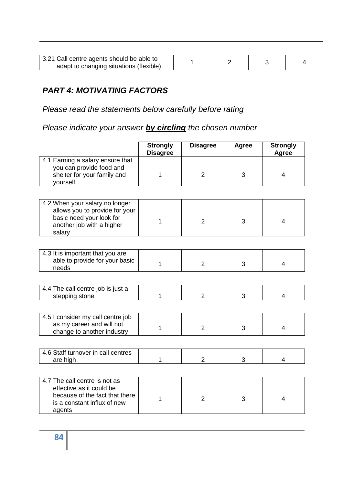| 3.21 Call centre agents should be able to |  |  |
|-------------------------------------------|--|--|
| adapt to changing situations (flexible)   |  |  |

# *PART 4: MOTIVATING FACTORS*

*Please read the statements below carefully before rating*

*Please indicate your answer by circling the chosen number*

|                                                                                                                                      | <b>Strongly</b><br><b>Disagree</b> | <b>Disagree</b> | <b>Agree</b> | <b>Strongly</b><br>Agree |
|--------------------------------------------------------------------------------------------------------------------------------------|------------------------------------|-----------------|--------------|--------------------------|
| 4.1 Earning a salary ensure that<br>you can provide food and<br>shelter for your family and<br>yourself                              | 1                                  | $\overline{2}$  | 3            | $\overline{4}$           |
|                                                                                                                                      |                                    |                 |              |                          |
| 4.2 When your salary no longer<br>allows you to provide for your<br>basic need your look for<br>another job with a higher<br>salary  | 1                                  | $\overline{2}$  | 3            | 4                        |
|                                                                                                                                      |                                    |                 |              |                          |
| 4.3 It is important that you are<br>able to provide for your basic<br>needs                                                          | 1                                  | $\overline{2}$  | 3            | 4                        |
|                                                                                                                                      |                                    |                 |              |                          |
| 4.4 The call centre job is just a<br>stepping stone                                                                                  | 1                                  | $\overline{2}$  | 3            | 4                        |
|                                                                                                                                      |                                    |                 |              |                          |
| 4.5 I consider my call centre job<br>as my career and will not<br>change to another industry                                         | 1                                  | 2               | 3            | $\overline{4}$           |
|                                                                                                                                      |                                    |                 |              |                          |
| 4.6 Staff turnover in call centres<br>are high                                                                                       | 1                                  | $\overline{2}$  | 3            | 4                        |
|                                                                                                                                      |                                    |                 |              |                          |
| 4.7 The call centre is not as<br>effective as it could be<br>because of the fact that there<br>is a constant influx of new<br>agents | 1                                  | $\overline{2}$  | 3            | $\overline{4}$           |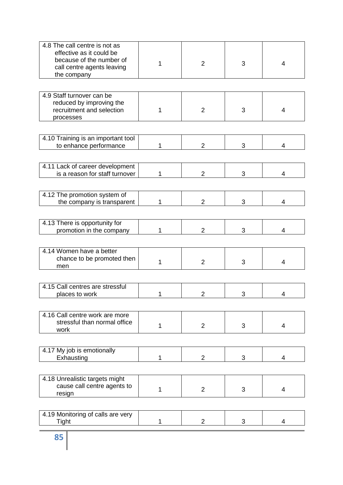| 4.8 The call centre is not as<br>effective as it could be<br>because of the number of<br>call centre agents leaving<br>the company | 1 | $\overline{2}$ | 3 | 4              |
|------------------------------------------------------------------------------------------------------------------------------------|---|----------------|---|----------------|
|                                                                                                                                    |   |                |   |                |
| 4.9 Staff turnover can be<br>reduced by improving the<br>recruitment and selection<br>processes                                    | 1 | $\overline{2}$ | 3 | 4              |
|                                                                                                                                    |   |                |   |                |
| 4.10 Training is an important tool<br>to enhance performance                                                                       | 1 | $\overline{2}$ | 3 | 4              |
|                                                                                                                                    |   |                |   |                |
| 4.11 Lack of career development<br>is a reason for staff turnover                                                                  | 1 | $\overline{2}$ | 3 | 4              |
|                                                                                                                                    |   |                |   |                |
| 4.12 The promotion system of<br>the company is transparent                                                                         | 1 | $\overline{2}$ | 3 | 4              |
|                                                                                                                                    |   |                |   |                |
| 4.13 There is opportunity for<br>promotion in the company                                                                          |   | $\overline{2}$ | 3 | 4              |
|                                                                                                                                    |   |                |   |                |
| 4.14 Women have a better<br>chance to be promoted then<br>men                                                                      | 1 | 2              | 3 | 4              |
|                                                                                                                                    |   |                |   |                |
| 4.15 Call centres are stressful<br>places to work                                                                                  | 1 | 2              | 3 | 4              |
|                                                                                                                                    |   |                |   |                |
| 4.16 Call centre work are more<br>stressful than normal office<br>work                                                             | 1 | 2              | 3 | $\overline{4}$ |
|                                                                                                                                    |   |                |   |                |
| 4.17 My job is emotionally<br>Exhausting                                                                                           | 1 | $\overline{2}$ | 3 | 4              |
|                                                                                                                                    |   |                |   |                |
| 4.18 Unrealistic targets might<br>cause call centre agents to<br>resign                                                            | 1 | 2              | 3 | 4              |
|                                                                                                                                    |   |                |   |                |
| 4.19 Monitoring of calls are very<br><b>Tight</b>                                                                                  | 1 | $\overline{2}$ | 3 | 4              |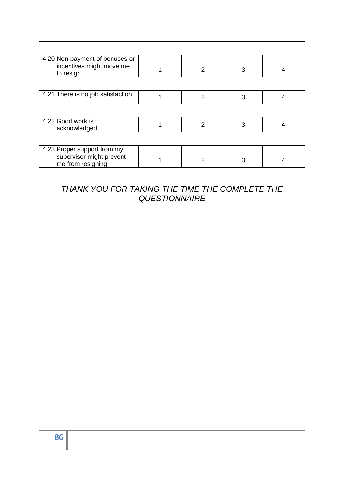| 4.20 Non-payment of bonuses or<br>incentives might move me<br>to resign      | 2             | 3 |  |
|------------------------------------------------------------------------------|---------------|---|--|
|                                                                              |               |   |  |
| 4.21 There is no job satisfaction                                            | $\mathcal{P}$ | 3 |  |
|                                                                              |               |   |  |
| 4.22 Good work is<br>acknowledged                                            | 2             | 3 |  |
|                                                                              |               |   |  |
| 4.23 Proper support from my<br>supervisor might prevent<br>me from resigning |               |   |  |

# *THANK YOU FOR TAKING THE TIME THE COMPLETE THE QUESTIONNAIRE*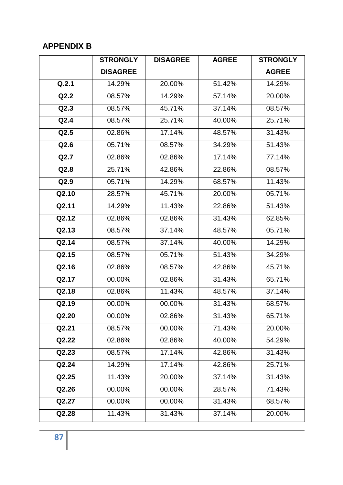# **APPENDIX B**

|                    | <b>STRONGLY</b> | <b>DISAGREE</b> | <b>AGREE</b> | <b>STRONGLY</b> |
|--------------------|-----------------|-----------------|--------------|-----------------|
|                    | <b>DISAGREE</b> |                 |              | <b>AGREE</b>    |
| Q.2.1              | 14.29%          | 20.00%          | 51.42%       | 14.29%          |
| Q2.2               | 08.57%          | 14.29%          | 57.14%       | 20.00%          |
| Q2.3               | 08.57%          | 45.71%          | 37.14%       | 08.57%          |
| Q2.4               | 08.57%          | 25.71%          | 40.00%       | 25.71%          |
| Q2.5               | 02.86%          | 17.14%          | 48.57%       | 31.43%          |
| Q2.6               | 05.71%          | 08.57%          | 34.29%       | 51.43%          |
| Q2.7               | 02.86%          | 02.86%          | 17.14%       | 77.14%          |
| Q2.8               | 25.71%          | 42.86%          | 22.86%       | 08.57%          |
| Q2.9               | 05.71%          | 14.29%          | 68.57%       | 11.43%          |
| $\overline{Q2.10}$ | 28.57%          | 45.71%          | 20.00%       | 05.71%          |
| Q2.11              | 14.29%          | 11.43%          | 22.86%       | 51.43%          |
| Q2.12              | 02.86%          | 02.86%          | 31.43%       | 62.85%          |
| Q2.13              | 08.57%          | 37.14%          | 48.57%       | 05.71%          |
| Q2.14              | 08.57%          | 37.14%          | 40.00%       | 14.29%          |
| Q2.15              | 08.57%          | 05.71%          | 51.43%       | 34.29%          |
| Q2.16              | 02.86%          | 08.57%          | 42.86%       | 45.71%          |
| Q2.17              | 00.00%          | 02.86%          | 31.43%       | 65.71%          |
| Q2.18              | 02.86%          | 11.43%          | 48.57%       | 37.14%          |
| Q2.19              | 00.00%          | 00.00%          | 31.43%       | 68.57%          |
| Q2.20              | 00.00%          | 02.86%          | 31.43%       | 65.71%          |
| Q2.21              | 08.57%          | 00.00%          | 71.43%       | 20.00%          |
| Q2.22              | 02.86%          | 02.86%          | 40.00%       | 54.29%          |
| Q2.23              | 08.57%          | 17.14%          | 42.86%       | 31.43%          |
| Q2.24              | 14.29%          | 17.14%          | 42.86%       | 25.71%          |
| Q2.25              | 11.43%          | 20.00%          | 37.14%       | 31.43%          |
| Q2.26              | 00.00%          | 00.00%          | 28.57%       | 71.43%          |
| Q2.27              | 00.00%          | 00.00%          | 31.43%       | 68.57%          |
| Q2.28              | 11.43%          | 31.43%          | 37.14%       | 20.00%          |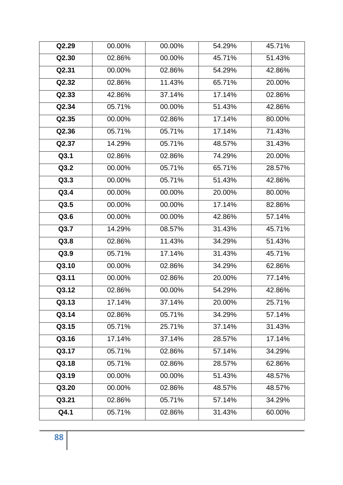| Q2.29 | 00.00% | 00.00% | 54.29% | 45.71% |
|-------|--------|--------|--------|--------|
| Q2.30 | 02.86% | 00.00% | 45.71% | 51.43% |
| Q2.31 | 00.00% | 02.86% | 54.29% | 42.86% |
| Q2.32 | 02.86% | 11.43% | 65.71% | 20.00% |
| Q2.33 | 42.86% | 37.14% | 17.14% | 02.86% |
| Q2.34 | 05.71% | 00.00% | 51.43% | 42.86% |
| Q2.35 | 00.00% | 02.86% | 17.14% | 80.00% |
| Q2.36 | 05.71% | 05.71% | 17.14% | 71.43% |
| Q2.37 | 14.29% | 05.71% | 48.57% | 31.43% |
| Q3.1  | 02.86% | 02.86% | 74.29% | 20.00% |
| Q3.2  | 00.00% | 05.71% | 65.71% | 28.57% |
| Q3.3  | 00.00% | 05.71% | 51.43% | 42.86% |
| Q3.4  | 00.00% | 00.00% | 20.00% | 80.00% |
| Q3.5  | 00.00% | 00.00% | 17.14% | 82.86% |
| Q3.6  | 00.00% | 00.00% | 42.86% | 57.14% |
| Q3.7  | 14.29% | 08.57% | 31.43% | 45.71% |
| Q3.8  | 02.86% | 11.43% | 34.29% | 51.43% |
| Q3.9  | 05.71% | 17.14% | 31.43% | 45.71% |
| Q3.10 | 00.00% | 02.86% | 34.29% | 62.86% |
| Q3.11 | 00.00% | 02.86% | 20.00% | 77.14% |
| Q3.12 | 02.86% | 00.00% | 54.29% | 42.86% |
| Q3.13 | 17.14% | 37.14% | 20.00% | 25.71% |
| Q3.14 | 02.86% | 05.71% | 34.29% | 57.14% |
| Q3.15 | 05.71% | 25.71% | 37.14% | 31.43% |
| Q3.16 | 17.14% | 37.14% | 28.57% | 17.14% |
| Q3.17 | 05.71% | 02.86% | 57.14% | 34.29% |
| Q3.18 | 05.71% | 02.86% | 28.57% | 62.86% |
| Q3.19 | 00.00% | 00.00% | 51.43% | 48.57% |
| Q3.20 | 00.00% | 02.86% | 48.57% | 48.57% |
| Q3.21 | 02.86% | 05.71% | 57.14% | 34.29% |
| Q4.1  | 05.71% | 02.86% | 31.43% | 60.00% |